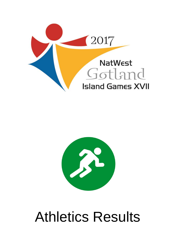



# Athletics Results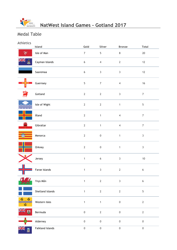

# Medal Table

### Athletics

|          | Island                  | Gold             | Silver           | <b>Bronze</b>    | <b>Total</b>     |
|----------|-------------------------|------------------|------------------|------------------|------------------|
|          | Isle of Man             | $\overline{7}$   | 5                | $\bf 8$          | $20\,$           |
| er<br>Re | Cayman Islands          | $\boldsymbol{6}$ | $\overline{4}$   | $\mathbf{2}$     | $12$             |
|          | Saaremaa                | $\boldsymbol{6}$ | $\mathbf{3}$     | $\mathsf{3}$     | $12$             |
|          | Guernsey                | 5                | $\overline{7}$   | $\overline{4}$   | $16$             |
|          | Gotland                 | $\overline{2}$   | $\mathbf{2}$     | $\mathbf{3}$     | $\overline{7}$   |
|          | Isle of Wight           | $\mathbf{2}$     | $\mathbf{2}$     | $\mathbf{1}$     | $\overline{5}$   |
|          | Åland                   | $\overline{2}$   | $\mathbf{1}$     | $\overline{4}$   | $\overline{7}$   |
| ₩        | Gibraltar               | $\mathbf{2}$     | $\mathbf{1}$     | $\overline{4}$   | $\overline{7}$   |
|          | Menorca                 | $\mathbf{2}$     | $\pmb{0}$        | $\mathbf{1}$     | $\mathbf{3}$     |
|          | Orkney                  | $\mathbf{2}$     | $\mathbf 0$      | $\mathbf{1}$     | $\mathbf{3}$     |
|          | Jersey                  | $\mathbf{1}$     | $\boldsymbol{6}$ | $\mathbf{3}$     | $10$             |
|          | Faroe Islands           | $\mathbf{1}$     | $\mathbf{3}$     | $\sqrt{2}$       | $\boldsymbol{6}$ |
| $-$      | Ynys Môn                | $\mathbf{1}$     | $\mathbf{2}$     | $\mathsf 3$      | $\boldsymbol{6}$ |
|          | Shetland Islands        | $\mathbf{1}$     | $\overline{2}$   | $\sqrt{2}$       | $\overline{5}$   |
| đ.       | Western Isles           | $\mathbf{1}$     | $\mathbf{1}$     | $\boldsymbol{0}$ | $\mathbf 2$      |
| ≱≼<br>A  | Bermuda                 | $\mathbf 0$      | $\sqrt{2}$       | $\mathbf 0$      | $\mathbf{2}$     |
|          | Alderney                | $\mathbf 0$      | $\pmb{0}$        | $\mathbf 0$      | $\mathbf 0$      |
|          | <b>Falkland Islands</b> | $\mathbf 0$      | $\mathbf 0$      | $\mathbf 0$      | $\boldsymbol{0}$ |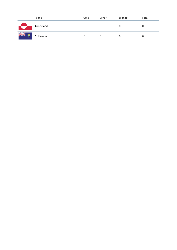|        | <b>Island</b> | Gold | Silver | <b>Bronze</b> | Total |
|--------|---------------|------|--------|---------------|-------|
|        | Greenland     |      |        |               |       |
| ▓<br>č | St Helena     |      |        |               |       |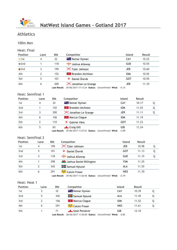

100m Men

| Heat: Final     |      |                     |                                                                                    |            |        |
|-----------------|------|---------------------|------------------------------------------------------------------------------------|------------|--------|
| <b>Position</b> | Lane | <b>Bib</b>          | Competitor                                                                         | Island     | Result |
| $\bullet$ 1st   | 4    | 32                  | <b>** &amp;</b> Kemar Hyman                                                        | CAY        | 10.25  |
| $\bullet$ 2nd   |      | 118                 | Joshua Allaway                                                                     | <b>GUE</b> | 10.55  |
| $\bullet$ 3rd   | 3    | 199                 | X Tyler Johnson                                                                    | <b>JER</b> | 10.60  |
| 4th             | 2    | 152                 | <b>EX</b> Brandon Atchison                                                         | <b>IOM</b> | 10.92  |
| 5th             | 5    | 101                 | Daniel Örevik<br>₩                                                                 | GOT        | 10.95  |
| 6th             | 6    | 200<br>Last Result: | <b>X</b> Jonathan Le Grange<br>29/06/2017 17:13:24 Status: Unconfirmed Wind: +5.15 | <b>JER</b> | 11.10  |

### Heat: Semifinal 1

| <b>Position</b> | Lane | <b>Bib</b> | Competitor                                              | <b>Island</b> | Result |  |
|-----------------|------|------------|---------------------------------------------------------|---------------|--------|--|
| 1st             | 4    | 32         | <b>** &amp; Kemar Hyman</b>                             | CAY           | 10.17  |  |
| 2 <sub>nd</sub> |      | 152        | <b>EX</b> Brandon Atchison                              | <b>IOM</b>    | 11.03  |  |
| 3rd             |      | 200        | <b>X</b> Jonathan Le Grange                             | <b>JER</b>    | 11.11  |  |
| 4th             | 6    | 156        | <b>EX Marcus Clague</b>                                 | <b>IOM</b>    | 11.19  |  |
| 5th             |      | 110        | Gabriel Vikic                                           | GOT           | 11.23  |  |
| 6th             | 5    | 65         | Craig Gill                                              | GIB           | 11.24  |  |
|                 |      |            | $1 - 1$ Decide $20/0$ $(2047.44.27.04$ Creative $1 - 1$ |               |        |  |

**Last Result:** 29/06/2017 11:27:01 **Status:** Unconfirmed **Wind:** +3.89

#### Heat: Semifinal 2

| <b>Position</b> | Lane | <b>Bib</b> | Competitor                                                       | <b>Island</b> | Result |   |
|-----------------|------|------------|------------------------------------------------------------------|---------------|--------|---|
| 1st             | 4    | 199        | $\mathsf{\times}$ Tyler Johnson                                  | <b>JER</b>    | 10.98  | Q |
| 2nd             | 5    | 101        | Daniel Örevik<br>₹                                               | GOT           | 11.13  | Q |
| 3rd             |      | 118        | Joshua Allaway                                                   | <b>GUE</b>    | 11.15  | Q |
| 4th             |      | 298        | <b>W</b> Joshua Daniel Billington                                | <b>YSM</b>    | 11.25  |   |
| 5th             | 2    | 342        | Samuel Nylund                                                    | ALA           | 11.55  |   |
| 6th             | 6    | 291        | Calum Fraser فَيَبْتُهُمْ                                        | <b>WES</b>    | 11.70  |   |
|                 |      |            | Last Result: 29/06/2017 11:26:50 Status: Unconfirmed Wind: +2.79 |               |        |   |

#### Heat: Heat 1

| <b>Position</b> | Lane | <b>Bib</b> | Competitor                  | <b>Island</b> | Result |  |
|-----------------|------|------------|-----------------------------|---------------|--------|--|
| 1st             |      | 32         | <b>XK &amp; Kemar Hyman</b> | CAY           | 10.39  |  |
| 2 <sub>nd</sub> |      | 342        | <b>H</b> Samuel Nylund      | ALA           | 11.45  |  |
| 3rd             |      | 156        | <b>P</b> Marcus Clague      | <b>IOM</b>    | 11.52  |  |
| 4th             | 0    | 291        | Calum Fraser فَيْتِهِ ۖ     | WES           | 11.61  |  |
| 5th             |      | 71         | Sean Penalver               | GIB           | 12.10  |  |

**Last Result:** 28/06/2017 11:50:00 **Status:** Unconfirmed **Wind:** -0.82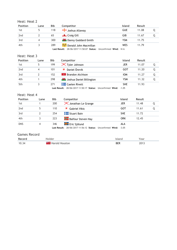### Heat: Heat 2

| <b>Position</b> | Lane | Bib | Competitor                                                     | Island     | Result |  |
|-----------------|------|-----|----------------------------------------------------------------|------------|--------|--|
| 1st             |      | 118 | Soshua Allaway                                                 | <b>GUE</b> | 11.08  |  |
| 2 <sub>nd</sub> |      | 65  | <b>Elle</b> Craig Gill                                         | GIB        | 11.67  |  |
| 3rd             |      | 300 | <b>M</b> Danny Goddard-Smith                                   | <b>YSM</b> | 11.75  |  |
| 4th             |      | 289 | Donald John Macmillan منتقل                                    | WES        | 11.79  |  |
|                 |      |     | Last Result: 28/06/2017 11:50:07 Status: Unconfirmed Wind: N/A |            |        |  |

Heat: Heat 3

| <b>Position</b> | Lane | Bib | Competitor                                                                | <b>Island</b> | Result |   |
|-----------------|------|-----|---------------------------------------------------------------------------|---------------|--------|---|
| 1st             | 5    | 199 | $\mathsf{\times}$ Tyler Johnson                                           | JER           | 11.07  |   |
| 2 <sub>nd</sub> | 4    | 101 | Daniel Örevik                                                             | GOT           | 11.20  |   |
| 3rd             |      | 152 | <b>Brandon Atchison</b><br>v                                              | <b>IOM</b>    | 11.27  | Q |
| 4th             |      | 298 | <b>144</b> Joshua Daniel Billington                                       | YSM           | 11.32  | O |
| 5th             |      | 271 | <b>THE Caelen Rivett</b>                                                  | <b>SHE</b>    | 11.93  |   |
|                 |      |     | $1$ act Posult: $28/06/2017.1150(17.8)$ Status: Unconfirmed Wind: $-1.05$ |               |        |   |

**Last Result:** 28/06/2017 11:50:17 **Status:** Unconfirmed **Wind:** -1.05

#### Heat: Heat 4

| <b>Position</b> | Lane           | <b>Bib</b> | Competitor                                                 | <b>Island</b> | Result |  |
|-----------------|----------------|------------|------------------------------------------------------------|---------------|--------|--|
| 1st             |                | 200        | <b>X</b> Jonathan Le Grange                                | <b>JER</b>    | 11.48  |  |
| 2 <sub>nd</sub> | 5              | 110        | <b>Gabriel Vikic</b>                                       | GOT           | 11.61  |  |
| 3rd             |                | 254        | <b>The Stuart Bain</b>                                     | <b>SHE</b>    | 11.72  |  |
| 4th             |                | 223        | <b>Balfour Steven Hay</b>                                  | ORK           | 12.45  |  |
| <b>DNS</b>      | $\overline{4}$ | 346        | <b>H</b> Eric Sjölund                                      | ALA           |        |  |
|                 |                |            | Last Result: 28/06/2017 11:56:12 Status: Unconfirmed Wind: | $-3.05$       |        |  |

| Record | older          |     | ear           |
|--------|----------------|-----|---------------|
| 10.34  | Houston        | BER | $201^{\circ}$ |
|        | . O I <i>D</i> |     | ____          |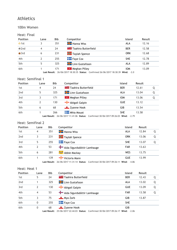#### 100m Women

### Heat: Final

| <b>Position</b> | Lane | <b>Bib</b> | Competitor                       | <b>Island</b> | Result |
|-----------------|------|------------|----------------------------------|---------------|--------|
| $\bullet$ 1st   |      | 351        | <b>H</b> Hanna Wiss              | ALA           | 12.16  |
| $\bullet$ 2nd   | 4    | 24         | <b>ERE U</b> Taahira Butterfield | <b>BER</b>    | 12.58  |
| $\bullet$ 3rd   | 6    | 231        | <b>Taylah Spence</b>             | <b>ORK</b>    | 12.68  |
| 4th             |      | 255        | $\blacksquare$ Faye Cox          | <b>SHE</b>    | 12.78  |
| 5th             | 5    | 325        | <b>H</b> Linn Gustafsson         | <b>ALA</b>    | 12.89  |
| 6th             |      | 171        | $\mathbb{R}$ Meghan Pilley       | <b>IOM</b>    | 13.09  |

**Last Result:** 26/06/2017 18:30:35 **Status:** Confirmed 26/06/2017 18:30:39 **Wind:** -2.0

#### Heat: Semifinal 1

| <b>Position</b> | Lane | <b>Bib</b> | Competitor                       | <b>Island</b> | Result |  |
|-----------------|------|------------|----------------------------------|---------------|--------|--|
| 1st             | 4    | 24         | <b>ARE U</b> Taahira Butterfield | <b>BER</b>    | 12.61  |  |
| 2 <sub>nd</sub> | 5    | 325        | <b>H</b> Linn Gustafsson         | ALA           | 13.04  |  |
| 3rd             |      | 171        | $\mathbb{R}$ Meghan Pilley       | <b>IOM</b>    | 13.06  |  |
| 4th             |      | 130        | Abigail Galpin                   | <b>GUE</b>    | 13.12  |  |
| 5th             | 6    | 68         | $\Box$ Zyanne Hook               | GIB           | 13.54  |  |
| 6th             |      | 266        | <b>Nhia Mouat</b>                | <b>SHE</b>    | 13.58  |  |

**Last Result:** 26/06/2017 11:41:06 **Status:** Confirmed 30/06/2017 09:26:03 **Wind:** -2.79

#### Heat: Semifinal 2

| <b>Position</b> | Lane | Bib | Competitor                  | <b>Island</b> | Result |   |
|-----------------|------|-----|-----------------------------|---------------|--------|---|
| 1st             | 4    | 351 | <b>H</b> Hanna Wiss         | <b>ALA</b>    | 12.84  |   |
| 2nd             | 3    | 231 | <b>Taylah Spence</b>        | ORK           | 13.06  | 0 |
| 3rd             | 5    | 255 | $\blacksquare$ Faye Cox     | <b>SHE</b>    | 13.07  |   |
| 4th             | 2    | 53  | Alda Sigurdsdóttir Lamhauge | <b>FAR</b>    | 13.63  |   |
| 5th             | 6    | 281 | Abbie Mackay الشيش          | <b>WES</b>    | 13.75  |   |
| 6th             |      | 139 | Victoria Mann               | <b>GUE</b>    | 13.99  |   |

**Last Result:** 26/06/2017 11:31:14 **Status:** Confirmed 30/06/2017 09:26:11 **Wind:** -4.86

#### Heat: Heat 1

| <b>Position</b> | Lane                     | <b>Bib</b>         | Competitor                                                                                         | Island     | Result |   |
|-----------------|--------------------------|--------------------|----------------------------------------------------------------------------------------------------|------------|--------|---|
| 1st             | 5                        | 24                 | <b>TE U</b> Taahira Butterfield                                                                    | <b>BER</b> | 12.43  | Q |
| 2 <sub>nd</sub> |                          | 325                | <b>H</b> Linn Gustafsson                                                                           | <b>ALA</b> | 13.02  | Q |
| 3rd             | $\overline{\phantom{a}}$ | 130                | Abigail Galpin                                                                                     | <b>GUE</b> | 13.09  | Q |
| 4th             | 4                        | 53                 | Alda Sigurdsdóttir Lamhauge                                                                        | <b>FAR</b> | 13.58  | O |
| 5th             | 3                        | 75                 | Mya Zarb                                                                                           | GIB        | 13.87  |   |
| 6th             | 0                        | 255                | $\blacksquare$ Faye Cox                                                                            | <b>SHE</b> |        |   |
| 6th             | 0                        | 68<br>Last Result: | $\frac{1}{2}$ Zyanne Hook<br>25/06/2017 22:44:03 Status: Confirmed 30/06/2017 09:26:17 Wind: -2.06 | GIB        |        |   |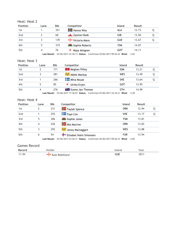| Heat: Heat 2 |  |  |
|--------------|--|--|
|--------------|--|--|

| <b>Position</b> | Lane | <b>Bib</b> | Competitor                 | <b>Island</b> | Result |  |
|-----------------|------|------------|----------------------------|---------------|--------|--|
| 1st             |      | 351        | <b>H</b> Hanna Wiss        | ALA           | 12.73  |  |
| 2 <sub>nd</sub> |      | 68         |                            | GIB           | 13.50  |  |
| 3rd             |      | 139        | <del>T</del> Victoria Mann | <b>GUE</b>    | 13.67  |  |
| 4th             | 5    | 319        | Sophie Roberts             | YSM           | 14.07  |  |
| 5th             | 4    | 76         | Maja Almgren               | GOT           | 14.11  |  |

**Last Result:** 25/06/2017 22:44:13 **Status:** Confirmed 30/06/2017 09:26:22 **Wind:** -3.02

#### Heat: Heat 3

| <b>Position</b> | Lane | <b>Bib</b> | Competitor                                                                            | <b>Island</b> | <b>Result</b> |  |
|-----------------|------|------------|---------------------------------------------------------------------------------------|---------------|---------------|--|
| 1st             |      | 171        | $\mathbb{R}$ Meghan Pilley                                                            | <b>IOM</b>    | 13.21         |  |
| 2 <sub>nd</sub> |      | 281        | Abbie Mackay الشيش                                                                    | WES           | 13.49         |  |
| 3rd             |      | 266        | Mhia Mouat                                                                            | <b>SHE</b>    | 13.64         |  |
| 4th             |      | 85         | Ulrika Evjen                                                                          | GOT           | 13.95         |  |
| 5th             |      | 276        | <b>Externe</b> Sunna-Jan Thomas                                                       | <b>STH</b>    | 14.99         |  |
|                 |      |            | $\sim$ Posult: $25/06/2017.17.26.07$ Ctatus: Confirmed 25/06/2017 22:44:21 Wind: 2.28 |               |               |  |

**Last Result:** 25/06/2017 17:36:07 **Status:** Confirmed 25/06/2017 22:44:21 **Wind:** -2.28

### Heat: Heat 4

| <b>Position</b> | Lane | <b>Bib</b> | Competitor                                                                                                          | <b>Island</b> | <b>Result</b> |   |
|-----------------|------|------------|---------------------------------------------------------------------------------------------------------------------|---------------|---------------|---|
| 1st             | 2    | 231        | <b>Taylah Spence</b>                                                                                                | ORK           | 12.94         | Q |
| 2nd             |      | 255        | $\blacksquare$ Faye Cox                                                                                             | <b>SHE</b>    | 13.17         | Q |
| 3rd             | 5    | 306        | <b>W</b> Sophie Jones                                                                                               | <b>YSM</b>    | 13.81         |   |
| 4th             | 4    | 226        | Mia MacIver                                                                                                         | ORK           | 13.83         |   |
| 5th             | 3    | 292        | Jenny Mactaggart <del>تَحْيَدُّ</del>                                                                               | WES           | 13.88         |   |
| 6th             | 6    | 54         | Elisabet Holm Simonsen                                                                                              | <b>FAR</b>    | 13.94         |   |
|                 |      |            | $1.24$ Bost $1.6$ $1.06$ $1.017$ $2.014$ $3.4$ $5.21$ $5.41$ $1.01$ $6.201$ $7.017$ $1.001$ $7.001$ $7.001$ $1.001$ |               |               |   |

**Last Result:** 25/06/2017 22:44:31 **Status:** Confirmed 30/06/2017 09:26:33 **Wind:** -4.85

| Record | Holder          | lsland | Year |
|--------|-----------------|--------|------|
| 11.94  | Kyle Robilliard | GUE    | 2011 |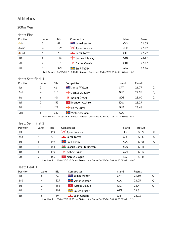#### 200m Men

#### Heat: Final

| <b>Position</b> | Lane | <b>Bib</b> | Competitor                                                                               | <b>Island</b> | Result |
|-----------------|------|------------|------------------------------------------------------------------------------------------|---------------|--------|
| $\bullet$ 1st   |      | 42         | <b>Ext.</b> Jamal Walton                                                                 | CAY           | 21.55  |
| $Q$ 2nd         | 4    | 199        | X Tyler Johnson                                                                          | <b>JER</b>    | 22.02  |
| $\bullet$ 3rd   | 5    | 73         | Jerai Torres                                                                             | GIB           | 22.22  |
| 4th             | 6    | 118        | Joshua Allaway                                                                           | <b>GUE</b>    | 22.87  |
| 5th             |      | 101        | Daniel Örevik                                                                            | GOT           | 22.87  |
| 6th             |      | 349        | <b>H</b> Emil Thölix                                                                     | <b>ALA</b>    | 22.96  |
|                 |      |            | <b>Last Result:</b> 26/06/2017 18:44:19 Status: Confirmed 30/06/2017 09:24:01 Wind: -2.5 |               |        |

#### Heat: Semifinal 1

| <b>Position</b> | Lane | <b>Bib</b> | Competitor                | <b>Island</b> | Result |   |
|-----------------|------|------------|---------------------------|---------------|--------|---|
| 1st             |      | 42         | <b>** B</b> Jamal Walton  | CAY           | 21.77  | Q |
| 2nd             | 4    | 118        | Joshua Allaway            | <b>GUE</b>    | 22.96  | Q |
| 3rd             | 6    | 101        | Daniel Örevik             | <b>GOT</b>    | 23.00  | Q |
| 4th             |      | 152        | <b>*</b> Brandon Atchison | <b>IOM</b>    | 23.29  |   |
| 5th             |      | 122        | Harry Burns               | <b>GUE</b>    | 23.46  |   |
| <b>DNS</b>      |      | 329        | Victor Jansson            | ALA           |        |   |

**Last Result:** 26/06/2017 12:34:02 **Status:** Confirmed 30/06/2017 09:34:15 **Wind:** N/A

### Heat: Semifinal 2

| <b>Position</b> | Lane | <b>Bib</b> | Competitor                                                                         | Island     | Result |   |
|-----------------|------|------------|------------------------------------------------------------------------------------|------------|--------|---|
| 1st             |      | 199        | $\mathsf{\times}$ Tyler Johnson                                                    | <b>JER</b> | 22.24  | Q |
| 2nd             | 4    | 73         | Jerai Torres                                                                       | GIB        | 22.43  | Q |
| 3rd             | 6    | 349        | <b>H</b> Emil Thölix                                                               | ALA        | 23.08  | Q |
| 4th             |      | 298        | <b>W</b> Joshua Daniel Billington                                                  | <b>YSM</b> | 23.16  |   |
| 5th             |      | 110        | <b>Gabriel Vikic</b>                                                               | GOT        | 23.19  |   |
| 6th             |      | 156        | <b>R</b> Marcus Clague                                                             | <b>IOM</b> | 23.38  |   |
|                 |      |            | Last Result: 26/06/2017 12:34:08 Status: Confirmed 30/06/2017 09:34:20 Wind: -4.07 |            |        |   |

#### Heat: Heat 1

| <b>Position</b> | Lane | <b>Bib</b> | Competitor               | <b>Island</b> | Result |  |
|-----------------|------|------------|--------------------------|---------------|--------|--|
| 1st             | 5.   | 42         | <b>** B</b> Jamal Walton | CAY           | 21.80  |  |
| 2 <sub>nd</sub> | 4    | 329        | <b>H</b> Victor Jansson  | ALA           | 23.05  |  |
| 3rd             |      | 156        | <b>*</b> Marcus Clague   | <b>IOM</b>    | 23.41  |  |
| 4th             |      | 291        | Calum Fraser فَيْتَ      | WES           | 24.31  |  |
| 5th             | 6    | 59         | Sean Collado فللسلط      | GIB           | 24.72  |  |

**Last Result:** 25/06/2017 18:27:16 **Status:** Confirmed 30/06/2017 09:34:26 **Wind:** -2.91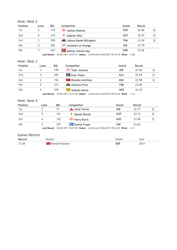| Heat: Heat 2 |  |  |
|--------------|--|--|
|--------------|--|--|

| <b>Position</b> | Lane | <b>Bib</b> | Competitor                         | <b>Island</b> | Result |  |
|-----------------|------|------------|------------------------------------|---------------|--------|--|
| 1st             |      | 118        | Joshua Allaway                     | <b>GUE</b>    | 22.86  |  |
| 2 <sub>nd</sub> |      | 110        | Gabriel Vikic                      | GOT           | 22.93  |  |
| 3rd             |      | 298        | <b>14</b> Joshua Daniel Billington | YSM           | 23.04  |  |
| 4th             | 4    | 200        | <b>X</b> Jonathan Le Grange        | JER           | 23.79  |  |
| 5th             |      | 223        | <b>Balfour Steven Hay</b>          | ORK           | 24.56  |  |

**Last Result:** 25/06/2017 18:27:23 **Status:** Confirmed 30/06/2017 09:34:32 **Wind:** -2.80

#### Heat: Heat 3

| Lane | <b>Bib</b> | Competitor                      | <b>Island</b> | <b>Result</b> |  |
|------|------------|---------------------------------|---------------|---------------|--|
|      | 199        | $\mathsf{\times}$ Tyler Johnson | <b>JER</b>    | 22.56         |  |
|      | 349        | <b>H</b> Emil Thölix            | ALA           | 22.94         |  |
|      | 152        | $\mathbb{R}$ Brandon Atchison   | <b>IOM</b>    | 22.98         |  |
| 0    | 315        | <b>XXX</b> Zachary Price        | <b>YSM</b>    | 23.85         |  |
|      | 279        | Andrew Horne <del>ڪُڇڱ</del>    | WES           | 24.25         |  |
|      |            |                                 |               |               |  |

**Last Result:** 25/06/2017 18:27:50 **Status:** Confirmed 30/06/2017 09:34:39 **Wind:** -4.19

#### Heat: Heat 4

| <b>Position</b> | Lane | <b>Bib</b> | Competitor                                                                                                                                                                                                                                                                                                                         | <b>Island</b> | Result |  |
|-----------------|------|------------|------------------------------------------------------------------------------------------------------------------------------------------------------------------------------------------------------------------------------------------------------------------------------------------------------------------------------------|---------------|--------|--|
| 1st             |      | 73         | Jerai Torres                                                                                                                                                                                                                                                                                                                       | GIB           | 22.77  |  |
| 2 <sub>nd</sub> |      | 101        | Daniel Örevik                                                                                                                                                                                                                                                                                                                      | GOT           | 23.15  |  |
| 3rd             |      | 122        | Harry Burns                                                                                                                                                                                                                                                                                                                        | <b>GUE</b>    | 23.50  |  |
| 4th             |      | 257        | <b>Keiran Fraser</b>                                                                                                                                                                                                                                                                                                               | <b>SHE</b>    | 23.65  |  |
|                 |      |            | $\mathbf{1}$ $\mathbf{1}$ $\mathbf{1}$ $\mathbf{1}$ $\mathbf{1}$ $\mathbf{1}$ $\mathbf{1}$ $\mathbf{1}$ $\mathbf{1}$ $\mathbf{1}$ $\mathbf{1}$ $\mathbf{1}$ $\mathbf{1}$ $\mathbf{1}$ $\mathbf{1}$ $\mathbf{1}$ $\mathbf{1}$ $\mathbf{1}$ $\mathbf{1}$ $\mathbf{1}$ $\mathbf{1}$ $\mathbf{1}$ $\mathbf{1}$ $\mathbf{1}$ $\mathbf{$ |               |        |  |

**Last Result:** 25/06/2017 18:27:59 **Status:** Confirmed 30/06/2017 09:34:47 **Wind:** -3.21

| Record | older                      |            | ear         |
|--------|----------------------------|------------|-------------|
| 21.05  | <b>EN B</b> Harold Houston | <b>BER</b> | 1017<br>___ |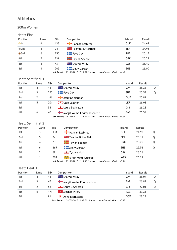#### 200m Women

#### Heat: Final

| <b>Position</b> | Lane                     | <b>Bib</b>            | Competitor                                                                      | <b>Island</b> | <b>Result</b> |
|-----------------|--------------------------|-----------------------|---------------------------------------------------------------------------------|---------------|---------------|
| $\bullet$ 1st   | 4                        | 138                   | Hannah Lesbirel                                                                 | <b>GUE</b>    | 24.69         |
| $\bullet$ 2nd   | 5                        | 24                    | <b>Example 1 Taahira Butterfield</b>                                            | <b>BER</b>    | 24.92         |
| $\bullet$ 3rd   | 6                        | 255                   | $F = \frac{1}{2}$ Faye Cox                                                      | <b>SHE</b>    | 25.17         |
| 4th             | $\overline{\phantom{a}}$ | 231                   | $\frac{1}{2}$ Taylah Spence                                                     | ORK           | 25.23         |
| 5th             |                          | 43                    | <b>THE Shalysa Wray</b>                                                         | CAY           | 25.40         |
| 6th             |                          | 265<br>Lact Rocult: L | <b>Nolly Morgan</b><br>$29/06/20171722509$ Status: Unconfirmed Wind: $\pm 4.48$ | <b>SHE</b>    | 26.00         |

**Last Result:** 29/06/2017 17:25:09 **Status:** Unconfirmed **Wind:** +4.48

### Heat: Semifinal 1

| <b>Position</b> | Lane | <b>Bib</b> | Competitor                            | <b>Island</b> | Result |  |
|-----------------|------|------------|---------------------------------------|---------------|--------|--|
| 1st             | 4    | 43         | <b>THE Shalysa Wray</b>               | CAY           | 25.26  |  |
| 2nd             |      | 255        | $\blacksquare$ Faye Cox               | <b>SHE</b>    | 25.53  |  |
| 3rd             | 2    | 146        | Jasmine Norman                        | <b>GUE</b>    | 25.81  |  |
| 4th             | 5    | 201        | $\mathsf{\times}$ Cleo Leather        | JER           | 26.08  |  |
| 5th             |      | 58         | Laura Bevington                       | GIB           | 26.28  |  |
| 6th             | 6    | 47         | <b>T</b> Margit Weihe Fríðmundsdóttir | <b>FAR</b>    | 26.57  |  |

**Last Result:** 29/06/2017 12:14:24 **Status:** Unconfirmed **Wind:** +4.54

#### Heat: Semifinal 2

| <b>Position</b> | Lane | <b>Bib</b> | Competitor                                              | <b>Island</b> | Result |  |
|-----------------|------|------------|---------------------------------------------------------|---------------|--------|--|
| 1st             |      | 138        | Hannah Lesbirel                                         | <b>GUE</b>    | 24.90  |  |
| 2nd             | 5    | 24         | <b>Example 1</b> Taahira Butterfield                    | <b>BER</b>    | 25.11  |  |
| 3rd             | 4    | 231        | <b>Taylah Spence</b>                                    | <b>ORK</b>    | 25.26  |  |
| 4th             | 6    | 265        | <b>Nolly Morgan</b>                                     | <b>SHE</b>    | 25.56  |  |
| 5th             |      | 68         | $\frac{1}{2}$ Zyanne Hook                               | GIB           | 26.26  |  |
| 6th             |      | 288        | Eilidh Mairi Macleod فَيْتَ                             | <b>WES</b>    | 26.29  |  |
|                 |      |            | $1 - 1$ Decide $20/0$ $(2047.42.40.2)$ Creating $1 - 1$ |               |        |  |

**Last Result:** 29/06/2017 12:19:36 **Status:** Unconfirmed **Wind:** +3.26

### Heat: Heat 1

| <b>Position</b> | Lane | Bib | Competitor                                                                         | <b>Island</b> | <b>Result</b> |  |
|-----------------|------|-----|------------------------------------------------------------------------------------|---------------|---------------|--|
| 1st             | 4    | 43  | <b>The Shalysa Wray</b>                                                            | CAY           | 26.04         |  |
| 2 <sub>nd</sub> |      | 47  | <b>To</b> Margit Weihe Fríðmundsdóttir                                             | <b>FAR</b>    | 26.82         |  |
| 3rd             |      | 58  | Laura Bevington                                                                    | GIB           | 27.01         |  |
| 4th             | 5    | 171 | <b>A</b> eghan Pilley<br>v                                                         | <b>IOM</b>    | 27.28         |  |
| 5th             |      | 81  | ₹<br>Anna Björkstedt<br>ast Result: 28/06/2017 11:38:56 Status: Ilnconfirmed Wind: | GOT<br>-0.13  | 28.23         |  |

**Last Result:** 28/06/2017 11:38:56 **Status:** Unconfirmed **Wind:** -0.13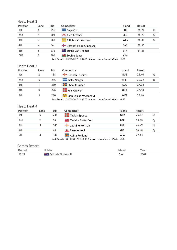### Heat: Heat 2

| <b>Position</b> | Lane | <b>Bib</b> | Competitor                        | <b>Island</b> | Result |   |
|-----------------|------|------------|-----------------------------------|---------------|--------|---|
| 1st             | 6    | 255        | $\blacksquare$ Faye Cox           | <b>SHE</b>    | 26.24  | Q |
| 2nd             |      | 201        | $\mathsf{\times}$ Cleo Leather    | <b>JER</b>    | 26.70  | Q |
| 3rd             |      | 288        | Eilidh Mairi Macleod فَيَبِيُّنَا | WES           | 26.86  | Q |
| 4th             | 4    | 54         | Elisabet Holm Simonsen            | <b>FAR</b>    | 28.56  |   |
| 5th             | 5    | 276        | <b>Example 1</b> Sunna-Jan Thomas | <b>STH</b>    | 31.21  |   |
| <b>DNS</b>      |      | 306        | Sophie Jones                      | <b>YSM</b>    |        |   |

**Last Result:** 28/06/2017 11:39:06 **Status:** Unconfirmed **Wind:** -0.76

### Heat: Heat 3

| <b>Position</b> | Lane | Bib | Competitor                                                                     | <b>Island</b> | Result |   |
|-----------------|------|-----|--------------------------------------------------------------------------------|---------------|--------|---|
| 1st             |      | 138 | Hannah Lesbirel                                                                | <b>GUE</b>    | 25.40  | Q |
| 2 <sub>nd</sub> |      | 265 | Molly Morgan                                                                   | <b>SHE</b>    | 26.22  | Q |
| 3rd             |      | 330 | <b>H</b> Ebba Koskinen                                                         | ALA           | 27.04  |   |
| 4th             |      | 226 | <b>Alla</b> Mia MacIver                                                        | ORK           | 27.18  |   |
| 5th             |      | 280 | Sian Louise Macdonald فيقيق                                                    | WES           | 27.66  |   |
|                 |      |     | <b>Last Result:</b> 28/06/2017 11:46:05 <b>Status:</b> Unconfirmed Wind: -1.93 |               |        |   |

Heat: Heat 4

| <b>Position</b> | Lane | Bib | Competitor                                                                            | <b>Island</b> | Result |   |
|-----------------|------|-----|---------------------------------------------------------------------------------------|---------------|--------|---|
| 1st             |      | 231 | <b>The Taylah Spence</b>                                                              | ORK           | 25.67  |   |
| 2 <sub>nd</sub> |      | 24  | <b>Example 1 Taahira Butterfield</b>                                                  | <b>BER</b>    | 25.69  | 0 |
| 3rd             |      | 146 | asmine Norman                                                                         | <b>GUE</b>    | 26.29  |   |
| 4th             |      | 68  | $\frac{1}{2}$ Zyanne Hook                                                             | GIB           | 26.48  |   |
| 5th             | 4    | 344 | <b>H</b> Adina Renlund                                                                | ALA           | 27.13  |   |
|                 |      |     | <b>Last Result:</b> 28/06/2017 22:18:06 <b>Status:</b> Unconfirmed <b>Wind:</b> +0.14 |               |        |   |

| Record        |                      |               | 'ea.          |
|---------------|----------------------|---------------|---------------|
| つこ<br><u></u> | Mothersill<br>VOODIA | CA.<br>$\sim$ | 700∕<br>$  -$ |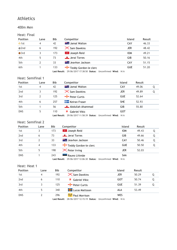#### 400m Men

#### Heat: Final

| <b>Position</b> | Lane | <b>Bib</b> | Competitor                 | <b>Island</b> | Result |
|-----------------|------|------------|----------------------------|---------------|--------|
| $\bullet$ 1st   | 4    | 42         | <b>External Walton</b>     | CAY           | 46.33  |
| $Q$ 2nd         | 6    | 192        | X Sam Dawkins              | <b>JER</b>    | 48.42  |
| $\bullet$ 3rd   |      | 173        | <b>T</b> Joseph Reid       | <b>IOM</b>    | 49.21  |
| 4th             | 5    | 73         | Jerai Torres               | GIB           | 50.16  |
| 5th             | 2    | 33         | <b>THE Jeavhon Jackson</b> | CAY           | 51.15  |
| 6th             |      | 133        | Teddy Gordon-le clerc      | <b>GUE</b>    | 51.20  |

**Last Result:** 29/06/2017 17:38:50 **Status:** Unconfirmed **Wind:** N/A

### Heat: Semifinal 1

| <b>Position</b> | Lane           | <b>Bib</b> | Competitor                    | <b>Island</b> | Result |  |
|-----------------|----------------|------------|-------------------------------|---------------|--------|--|
| 1st             | $\overline{4}$ | 42         | <b>THE Jamal Walton</b>       | CAY           | 49.06  |  |
| 2nd             | 3              | 192        | $\mathsf{\times}$ Sam Dawkins | <b>JER</b>    | 49.89  |  |
| 3rd             |                | 125        | $\leftarrow$ Peter Curtis     | <b>GUE</b>    | 52.64  |  |
| 4th             | 6              | 257        | <b>Keiran Fraser</b>          | <b>SHE</b>    | 52.93  |  |
| 5th             |                | 56         | Abdullah Ahammad              | GIB           | 55.80  |  |
| <b>DNS</b>      | 5              | 110        | <b>Gabriel Vikic</b>          | GOT           |        |  |

**Last Result:** 29/06/2017 11:58:39 **Status:** Unconfirmed **Wind:** N/A

### Heat: Semifinal 2

| <b>Position</b> | Lane | <b>Bib</b> | Competitor                     | <b>Island</b> | Result |   |
|-----------------|------|------------|--------------------------------|---------------|--------|---|
| 1st             |      | 173        | <b>R</b> Joseph Reid           | <b>IOM</b>    | 49.43  | Q |
| 2 <sub>nd</sub> | 6    | 73         | Jerai Torres                   | GIB           | 49.66  | Q |
| 3rd             | 2    | 33         | <b>** A</b> Jeavhon Jackson    | CAY           | 50.46  | Q |
| 4th             | 4    | 133        | Teddy Gordon-le clerc          | <b>GUE</b>    | 50.50  | Q |
| 5th             | 5    | 198        | $\mathsf{\times}$ Peter Irving | JER           | 52.03  |   |
| <b>DNS</b>      |      | 243        | Rauno Liitmäe                  | <b>SAA</b>    |        |   |

**Last Result:** 29/06/2017 12:06:30 **Status:** Unconfirmed **Wind:** N/A

#### Heat: Heat 1

| <b>Position</b> | Lane | <b>Bib</b> | Competitor              | <b>Island</b> | Result |  |
|-----------------|------|------------|-------------------------|---------------|--------|--|
| 1st             | 4    | 192        | X Sam Dawkins           | <b>JER</b>    | 50.29  |  |
| 2 <sub>nd</sub> | 6    | 110        | Gabriel Vikic<br>薄      | GOT           | 50.74  |  |
| 3rd             |      | 125        | Peter Curtis            | <b>GUE</b>    | 51.39  |  |
| 4th             |      | 340        | <b>H</b> Lucas Mattsson | <b>ALA</b>    | 53.49  |  |
| <b>DNS</b>      |      | 296        | Paul Morrison الشيف     | <b>WES</b>    |        |  |

**Last Result:** 28/06/2017 12:15:19 **Status:** Unconfirmed **Wind:** N/A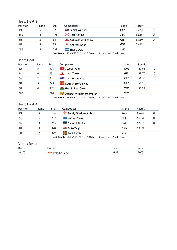### Heat: Heat 2

| <b>Position</b> | Lane | <b>Bib</b> | Competitor                     | <b>Island</b> | Result |  |
|-----------------|------|------------|--------------------------------|---------------|--------|--|
| 1st             | 6    | 42         | <b>The Jamal Walton</b>        | CAY           | 46.43  |  |
| 2 <sub>nd</sub> | 4    | 198        | $\mathsf{\times}$ Peter Irving | <b>JER</b>    | 52.35  |  |
| 3rd             |      | 56         | Abdullah Ahammad               | GIB           | 53.30  |  |
| 4th             |      | 83         | Andreas Daun                   | GOT           | 56.13  |  |
| <b>DNS</b>      |      | 269        | <b>Example 3</b> Shane Odie    | <b>SHE</b>    |        |  |

**Last Result:** 28/06/2017 12:15:27 **Status:** Unconfirmed **Wind:** N/A

#### Heat: Heat 3

| <b>Position</b> | Lane                     | Bib | Competitor                  | <b>Island</b> | Result |   |
|-----------------|--------------------------|-----|-----------------------------|---------------|--------|---|
| 1st             | 5                        | 173 | <b>V</b> Joseph Reid        | <b>IOM</b>    | 49.63  |   |
| 2 <sub>nd</sub> | 6                        | 73  | Jerai Torres                | <b>GIB</b>    | 49.70  | Q |
| 3rd             |                          | 33  | <b>XK 1</b> Jeavhon Jackson | CAY           | 51.38  | Q |
| 4th             |                          | 223 | <b>Balfour Steven Hay</b>   | ORK           | 54.16  |   |
| 5th             | $\overline{\mathcal{A}}$ | 312 | <b>W</b> Gethin Llyr Owen   | YSM           | 56.27  |   |
| <b>DNS</b>      |                          | 290 | Michael William Macmillan   | <b>WES</b>    |        |   |

**Last Result:** 28/06/2017 12:15:37 **Status:** Unconfirmed **Wind:** N/A

### Heat: Heat 4

| <b>Position</b> | Lane | Bib | Competitor                   | <b>Island</b> | Result |   |
|-----------------|------|-----|------------------------------|---------------|--------|---|
| 1st             |      | 133 | Teddy Gordon-le clerc        | <b>GUE</b>    | 50.92  | O |
| 2 <sub>nd</sub> | 6    | 257 | <b>To Keiran Fraser</b>      | <b>SHE</b>    | 51.54  |   |
| 3rd             | 4    | 243 | Rauno Liitmäe                | <b>SAA</b>    | 52.02  | O |
| 4th             |      | 320 | <b>W</b> Guto Tegid          | <b>YSM</b>    | 53.59  |   |
| 5th             |      | 349 | <b>Example 1</b> Emil Thölix | ALA           |        |   |

**Last Result:** 28/06/2017 12:15:47 **Status:** Unconfirmed **Wind:** N/A

| Record | older           |     | ear  |
|--------|-----------------|-----|------|
| 46.70  | Garland<br>Dale | gue | 2007 |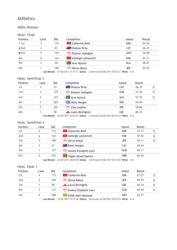#### 400m Women

#### Heat: Final

| <b>Position</b> | Lane | <b>Bib</b> | Competitor                          | <b>Island</b> | Result |
|-----------------|------|------------|-------------------------------------|---------------|--------|
| $\bullet$ 1st   |      | 172        | <b>R</b> Catherine Reid             | <b>IOM</b>    | 54.76  |
| $Q$ 2nd         | 4    | 43         | <b>** E</b> Shalysa Wray            | CAY           | 56.33  |
| $\bullet$ 3rd   | 5    | 129        | Eleanor Gallagher                   | <b>GUE</b>    | 56.48  |
| 4th             | 6    | 163        | <b>EXECUTE:</b> Ashleigh Lachenicht | <b>IOM</b>    | 57.31  |
| 5th             |      | 341        | Anni Nylund                         | ALA           | 58.07  |
| 6th             |      | 189        | $\times$ Olivia Allbut              | <b>JER</b>    | 59.03  |

**Last Result:** 27/06/2017 17:15:13 **Status:** Confirmed 30/06/2017 09:25:12 **Wind:** N/A

### Heat: Semifinal 1

| <b>Position</b> | Lane | <b>Bib</b> | Competitor                     | <b>Island</b> | Result |   |
|-----------------|------|------------|--------------------------------|---------------|--------|---|
| 1st             | 4    | 43         | <b>XX &amp; Shalysa Wray</b>   | CAY           | 56.39  | Q |
| 2nd             | ર    | 129        | Eleanor Gallagher              | <b>GUE</b>    | 57.30  | Q |
| 3rd             | 6    | 341        | Anni Nylund                    | ALA           | 57.55  | Q |
| 4th             |      | 265        | <b>Nolly Morgan</b>            | <b>SHE</b>    | 59.44  |   |
| 5th             |      | 201        | $\mathsf{\times}$ Cleo Leather | JER           | 59.86  |   |
| 6th             |      | 58         | Laura Bevington                | GIB           | 60.23  |   |

**Last Result:** 26/06/2017 18:05:56 **Status:** Confirmed 30/06/2017 09:25:23 **Wind:** N/A

#### Heat: Semifinal 2

| <b>Position</b> | Lane | <b>Bib</b> | Competitor                      | Island     | Result |   |
|-----------------|------|------------|---------------------------------|------------|--------|---|
| 1st             | 4    | 172        | <b>R</b> Catherine Reid         | <b>IOM</b> | 57.17  | Q |
| 2 <sub>nd</sub> | 6    | 163        | <b>Ashleigh Lachenicht</b>      | <b>IOM</b> | 57.52  | Q |
| 3rd             | 5    | 189        | $\mathsf{\times}$ Olivia Allbut | <b>JER</b> | 59.11  | Q |
| 4th             |      | 37         | <b>THE Pearl Morgan</b>         | CAY        | 59.64  |   |
| 5th             |      | 137        | Amelia Elizabeth Lees           | <b>GUE</b> | 60.11  |   |
| 6th             |      | 232        | <b>T</b> Tegan Allana Spence    | <b>ORK</b> | 60.39  |   |

**Last Result:** 26/06/2017 18:05:48 **Status:** Confirmed 30/06/2017 09:25:28 **Wind:** N/A

#### Heat: Heat 1

| <b>Position</b> | Lane | <b>Bib</b> | Competitor                 | <b>Island</b> | Result |   |
|-----------------|------|------------|----------------------------|---------------|--------|---|
| 1st             | 4    | 172        | <b>R</b> Catherine Reid    | <b>IOM</b>    | 57.27  |   |
| 2 <sub>nd</sub> |      | 189        | <b>X</b> Olivia Allbut     | JER           | 59.79  |   |
| 3rd             |      | 58         | Laura Bevington            | GIB           | 60.34  | Q |
| 4th             |      | 137        | Amelia Elizabeth Lees      | GUE           | 60.40  |   |
| 5th             | 6    | 288        | Eilidh Mairi Macleod الشيش | <b>WES</b>    | 62.77  |   |

**Last Result:** 25/06/2017 19:01:30 **Status:** Confirmed 30/06/2017 09:25:33 **Wind:** N/A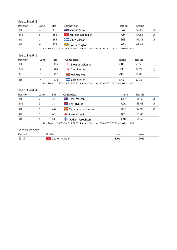### Heat: Heat 2

| <b>Position</b> | Lane | <b>Bib</b> | Competitor                             | Island     | Result |  |
|-----------------|------|------------|----------------------------------------|------------|--------|--|
| 1st             |      | 43         | <b>XXXX</b> Shalysa Wray               | CAY        | 57.06  |  |
| 2 <sub>nd</sub> |      | 163        | <b>EX</b> Ashleigh Lachenicht          | <b>IOM</b> | 57.53  |  |
| 3rd             |      | 265        | <b>THE Molly Morgan</b>                | <b>SHE</b> | 59.16  |  |
| 4th             |      | 278        | Eve Carrington <del>تَحْيِثُ</del> Eve | WES        | 62.64  |  |

**Last Result:** 25/06/2017 19:01:41 **Status:** Confirmed 30/06/2017 09:25:38 **Wind:** N/A

#### Heat: Heat 3

| <b>Position</b> | Lane | Bib | Competitor                     | <b>Island</b>                                                                   | <b>Result</b> |  |
|-----------------|------|-----|--------------------------------|---------------------------------------------------------------------------------|---------------|--|
| 1st             |      | 129 | Eleanor Gallagher              | <b>GUE</b>                                                                      | 59.55         |  |
| 2 <sub>nd</sub> |      | 201 | $\mathsf{\times}$ Cleo Leather | JER                                                                             | 59.79         |  |
| 3rd             |      | 226 | Mia MacIver                    | ORK                                                                             | 61.08         |  |
| 4th             |      | 273 | <b>Cara Steven</b>             | <b>SHE</b>                                                                      | 62.32         |  |
|                 |      |     |                                | ast Result: 25/06/2017 18:20:30 Status: Confirmed 30/06/2017 09:25:44 Wind: N/A |               |  |

**Last Result:** 25/06/2017 18:20:30 **Status:** Confirmed 30/06/2017 09:25:44 **Wind:** N/A

#### Heat: Heat 4

| Position        | Lane | <b>Bib</b> | Competitor              | Island     | Result |  |
|-----------------|------|------------|-------------------------|------------|--------|--|
| 1st             |      | 37         | <b>THE Pearl Morgan</b> | CAY        | 58.50  |  |
| 2 <sub>nd</sub> |      | 341        | <b>H</b> Anni Nylund    | ALA        | 58.68  |  |
| 3rd             |      | 232        | Tegan Allana Spence     | ORK        | 60.07  |  |
| 4th             |      | 68         | <b>Example Hook</b>     | GIB        | 61.45  |  |
| 5th             | 6    | 51         | Oddvør Josephsen        | <b>FAR</b> | 65.50  |  |

**Last Result:** 25/06/2017 19:01:55 **Status:** Confirmed 30/06/2017 09:25:49 **Wind:** N/A

| <b>Games Record</b> |                         |            |      |
|---------------------|-------------------------|------------|------|
| Record              | Holder                  | Island     | Year |
| 53.39               | <b>*</b> Catherine Reid | <b>IOM</b> | 2015 |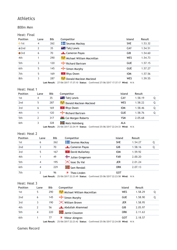#### 800m Men

#### Heat: Final

| <b>Position</b> | Lane | <b>Bib</b> | Competitor                                                                      | <b>Island</b> | <b>Result</b> |
|-----------------|------|------------|---------------------------------------------------------------------------------|---------------|---------------|
| $\bullet$ 1st   | 4    | 262        | Seumas Mackay                                                                   | <b>SHE</b>    | 1.53.32       |
| $\bullet$ 2nd   | 2    | 35         | <b>XX &amp; Tahj Lewis</b>                                                      | CAY           | 1.54.51       |
| $\bullet$ 3rd   | 6    | 70         | Cameron Payas                                                                   | GIB           | 1.54.60       |
| 4th             |      | 290        | Michael William Macmillan                                                       | WES           | 1.54.73       |
| 5th             | 3    | 120        | Richard Bartram                                                                 | <b>GUE</b>    | 1.57.15       |
| 6th             | 5    | 145        | $\frac{1}{2}$ Simon Murphy                                                      | <b>GUE</b>    | 1.57.27       |
| 7th             | 5    | 169        | <b>Rhys Owen</b>                                                                | <b>IOM</b>    | 1.57.56       |
| 8th             | 3    | 287        | Donald Maclean Macleod منتهيج                                                   | <b>WES</b>    | 1.59.55       |
|                 |      |            | Last Result: $27/06/2017173710$ Status: Confirmed 27/06/2017 17:37:17 Wind: N/A |               |               |

**Last Result:** 27/06/2017 17:37:10 **Status:** Confirmed 27/06/2017 17:37:17 **Wind:** N/A

| Heat: Heat 1 |      |            |                             |               |         |   |
|--------------|------|------------|-----------------------------|---------------|---------|---|
| Position     | Lane | <b>Bib</b> | Competitor                  | <b>Island</b> | Result  |   |
| 1st          | 4    | 35         | <b>** A</b> Tahj Lewis      | CAY           | 1.58.19 | Q |
| 2nd          | 5    | 287        | Donald Maclean Macleod      | <b>WES</b>    | 1.58.22 | Q |
| 3rd          | 6    | 169        | Rhys Owen                   | <b>IOM</b>    | 1.58.46 | Q |
| 4th          |      | 120        | Richard Bartram             | <b>GUE</b>    | 1.58.76 | Q |
| 5th          | 2    | 317        | <b>W</b> Cai Morgan Roberts | <b>YSM</b>    | 2.05.68 |   |
| 6th          |      | 328        | <b>H</b> Mats Holmberg      | ALA           |         |   |

**Last Result:** 25/06/2017 22:24:19 **Status:** Confirmed 25/06/2017 22:24:33 **Wind:** N/A

#### Heat: Heat 2

| <b>Position</b> | Lane | <b>Bib</b> | Competitor                                                                                                                                                                                     | <b>Island</b> | <b>Result</b> |   |
|-----------------|------|------------|------------------------------------------------------------------------------------------------------------------------------------------------------------------------------------------------|---------------|---------------|---|
| 1st             | 6    | 262        | <b>Formal Mackay</b>                                                                                                                                                                           | <b>SHE</b>    | 1.54.27       | Q |
| 2nd             | 3    | 70         | <b>Lameron Payas</b>                                                                                                                                                                           | <b>GIB</b>    | 1.58.16       | Q |
| 3rd             | 5    | 167        | <b>EX</b> David Mullarkey                                                                                                                                                                      | <b>IOM</b>    | 1.59.92       |   |
| 4th             |      | 49         | Julian Gregersen                                                                                                                                                                               | <b>FAR</b>    | 2.00.20       |   |
| 5th             | 4    | 195        | X Issac Du Val                                                                                                                                                                                 | <b>JER</b>    | 2.01.24       |   |
| 6th             | 4    | 229        | Sam Rendall                                                                                                                                                                                    | <b>ORK</b>    | 2.07.13       |   |
| 7th             |      | 96         | Theo Linden<br>$1 - 1$ B $-1$ $\mu$ $-2$ $\mu$ $\alpha$ $12\alpha$ $\pi$ $22\alpha$ $\pi$ $23\alpha$ $\pi$ $24\alpha$ $-1$ $25\alpha$ $\pi$ $22\alpha$ $\pi$ $23\alpha$ $\pi$ $24\alpha$ $\pi$ | GOT           |               |   |

**Last Result:** 25/06/2017 22:23:49 **Status:** Confirmed 25/06/2017 22:23:58 **Wind:** N/A

#### Heat: Heat 3

| <b>Position</b> | Lane | <b>Bib</b> | Competitor                                                                      | Island     | <b>Result</b> |   |
|-----------------|------|------------|---------------------------------------------------------------------------------|------------|---------------|---|
| 1st             | 5    | 290        | Michael William Macmillan                                                       | WES        | 1.58.29       |   |
| 2nd             | 6    | 145        | $\frac{1}{2}$ Simon Murphy                                                      | <b>GUE</b> | 1.58.90       | Q |
| 3rd             |      | 190        | <b>X</b> William Brown                                                          | <b>JER</b> | 1.58.95       |   |
| 4th             | 2    | 56         | Abdullah Ahammad                                                                | GIB        | 2.05.97       |   |
| 5th             | 4    | 220        | Jamie Clouston                                                                  | ORK        | 2.11.63       |   |
| 6th             |      | 77         | Viktor Almgren                                                                  | GOT        | 2.18.57       |   |
|                 |      |            | $1$ act Decult: $25/06/201722212$ Ctatuc: Confirmed 25/06/20172222109 Wind: N/A |            |               |   |

**Last Result:** 25/06/2017 22:23:42 **Status:** Confirmed 25/06/2017 22:24:08 **Wind:** N/A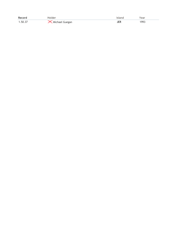| Record  | Holder                  | Island | Year |
|---------|-------------------------|--------|------|
| 1.50.37 | <b>X</b> Michael Guegan | JER    | 1993 |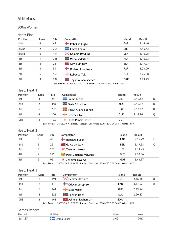#### 800m Women

#### Heat: Final

| <b>Position</b> | Lane | <b>Bib</b> | Competitor                                                                                                                                                                                                                                                                                                                            | <b>Island</b> | Result  |
|-----------------|------|------------|---------------------------------------------------------------------------------------------------------------------------------------------------------------------------------------------------------------------------------------------------------------------------------------------------------------------------------------|---------------|---------|
| $\bullet$ 1st   | 4    | 48         | Rebekka Fuglø                                                                                                                                                                                                                                                                                                                         | <b>FAR</b>    | 2.14.40 |
| $\bullet$ 2nd   | 2    | 261        | <b>THE Emma Leask</b>                                                                                                                                                                                                                                                                                                                 | <b>SHE</b>    | 2.15.42 |
| $\bullet$ 3rd   | 6    | 191        | $\mathsf{\times}$ Gemma Dawkins                                                                                                                                                                                                                                                                                                       | <b>JER</b>    | 2.16.25 |
| 4th             |      | 348        | Maria Söderlund                                                                                                                                                                                                                                                                                                                       | <b>ALA</b>    | 2.16.93 |
| 5th             | 5    | 25         | <b>ELE</b> Gayle Lindsay                                                                                                                                                                                                                                                                                                              | <b>BER</b>    | 2.17.97 |
| 6th             | 3    | 51         | Oddvør Josephsen                                                                                                                                                                                                                                                                                                                      | <b>FAR</b>    | 2.23.00 |
| 7th             | 5    | 150        | Rebecca Toll                                                                                                                                                                                                                                                                                                                          | <b>GUE</b>    | 2.26.58 |
| 8th             | 3    | 232        | Tegan Allana Spence<br>$\mathbf{I}$ , and $\mathbf{I}$ , and $\mathbf{I}$ , $\mathbf{I}$ , $\mathbf{I}$ , $\mathbf{I}$ , $\mathbf{I}$ , $\mathbf{I}$ , $\mathbf{I}$ , $\mathbf{I}$ , $\mathbf{I}$ , $\mathbf{I}$ , $\mathbf{I}$ , $\mathbf{I}$ , $\mathbf{I}$ , $\mathbf{I}$ , $\mathbf{I}$ , $\mathbf{I}$ , $\mathbf{I}$ , $\mathbf$ | <b>ORK</b>    | 2.29.79 |

**Last Result:** 30/06/2017 15:33:59 **Status:** Unconfirmed **Wind:** N/A

#### Heat: Heat 1

| <b>Position</b> | Lane | <b>Bib</b> | Competitor                     | Island     | Result  |   |
|-----------------|------|------------|--------------------------------|------------|---------|---|
| 1st             |      | 261        | <b>Example 1</b> Emma Leask    | <b>SHE</b> | 2.16.62 | O |
| 2 <sub>nd</sub> |      | 348        | <b>H</b> Maria Söderlund       | ALA        | 2.16.97 | Q |
| 3rd             | 6    | 232        | <b>The Tegan Allana Spence</b> | ORK        | 2.17.87 | O |
| 4th             |      | 150        | Rebecca Toll                   | <b>GUE</b> | 2.18.90 |   |
| <b>DNS</b>      |      | 102        | Linda Pimmeshofer              | GOT        |         |   |

**Last Result:** 28/06/2017 12:31:10 **Status:** Confirmed 30/06/2017 09:35:56 **Wind:** N/A

#### Heat: Heat 2

| <b>Position</b> | Lane | Bib          | Competitor                    |                                                                     | Island | Result  |   |
|-----------------|------|--------------|-------------------------------|---------------------------------------------------------------------|--------|---------|---|
| 1st             | 6    | 48           | Rebekka Fuglø                 | <b>FAR</b>                                                          |        | 2.15.79 |   |
| 2 <sub>nd</sub> |      | 25           | <b>External Gayle Lindsay</b> | <b>BER</b>                                                          |        | 2.19.33 | Q |
| 3rd             |      | 203          | X Yasmin Lookess              | <b>JER</b>                                                          |        | 2.19.43 |   |
| 4th             | 4    | 295          | Peigi Catriona McKellar       | <b>WES</b>                                                          |        | 2.28.36 |   |
| 5th             | 5    | 95           | Jennifer Laveryd              | GOT                                                                 |        | 2.43.97 |   |
|                 |      | Last Result: |                               | 28/06/2017 12:31:32 Status: Confirmed 30/06/2017 09:36:01 Wind: N/A |        |         |   |

#### Heat: Heat 3

| <b>Position</b> | Lane | <b>Bib</b> | Competitor                       | <b>Island</b> | Result  |  |
|-----------------|------|------------|----------------------------------|---------------|---------|--|
| 1st             |      | 191        | $\mathsf{\times}$ Gemma Dawkins  | <b>JER</b>    | 2.16.58 |  |
| 2 <sub>nd</sub> | 4    | 51         | Oddvør Josephsen                 | <b>FAR</b>    | 2.17.97 |  |
| 3rd             |      | 141        | Eliza Mason                      | <b>GUE</b>    | 2.19.44 |  |
| 4th             |      | 326        | Hannah Helin                     | ALA           | 2.20.87 |  |
| <b>DNS</b>      |      | 163        | $\mathbb{R}$ Ashleigh Lachenicht | <b>IOM</b>    |         |  |

**Last Result:** 28/06/2017 12:29:36 **Status:** Confirmed 30/06/2017 09:36:07 **Wind:** N/A

| Recor |      |            | cai |
|-------|------|------------|-----|
| 7.11  | eask | <b>SHE</b> |     |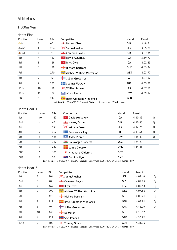### 1,500m Men

#### Heat: Final

| <b>Position</b> | Lane            | <b>Bib</b> | Competitor                      | Island     | Result  |
|-----------------|-----------------|------------|---------------------------------|------------|---------|
| $\bullet$ 1st   | 8               | 60         | Harvey Dixon                    | <b>GIB</b> | 3.48.71 |
| $\bullet$ 2nd   |                 | 204        | X Samuel Maher                  | <b>JER</b> | 3.55.78 |
| $\bullet$ 3rd   | 2               | 70         | Cameron Payas                   | <b>GIB</b> | 3.57.36 |
| 4th             | 7               | 167        | <b>R</b> David Mullarkey        | <b>IOM</b> | 3.59.70 |
| 5th             | 3               | 169        | <mark>स्टा</mark> Rhys Owen     | <b>IOM</b> | 4.02.85 |
| 6th             | 5               | 120        | Richard Bartram                 | <b>GUE</b> | 4.03.34 |
| 7th             | 4               | 290        | Michael William Macmillan       | WES        | 4.03.97 |
| 8th             | 9               | 49         | Julian Gregersen                | <b>FAR</b> | 4.04.57 |
| 9th             | 11              | 262        | Seumas Mackay                   | <b>SHE</b> | 4.05.57 |
| 10th            | 10 <sup>1</sup> | 190        | $\mathsf{\times}$ William Brown | <b>JER</b> | 4.07.56 |
| 11th            | 12              | 186        | Aidan Pierce                    | <b>IOW</b> | 4.09.14 |
| <b>DNS</b>      | 6               | 217        | Rafel Quintana Villalonga       | <b>MEN</b> |         |

**Last Result:** 30/06/2017 15:46:49 **Status:** Unconfirmed **Wind:** N/A

#### Heat: Heat 1

| Position        | Lane           | <b>Bib</b> | Competitor                      | <b>Island</b> | Result  |   |
|-----------------|----------------|------------|---------------------------------|---------------|---------|---|
| 1st             | 10             | 167        | <b>PED David Mullarkey</b>      | <b>IOM</b>    | 4.10.82 | Q |
| 2 <sub>nd</sub> | 4              | 60         | Harvey Dixon                    | GIB           | 4.10.86 | Q |
| 3rd             | 3              | 190        | $\mathsf{\times}$ William Brown | <b>JER</b>    | 4.12.76 | Q |
| 4th             | $\overline{2}$ | 262        | <b>Example 2</b> Seumas Mackay  | <b>SHE</b>    | 4.13.61 | Q |
| 5th             |                | 186        | <b>Aidan Pierce</b>             | <b>IOW</b>    | 4.15.43 | Q |
| 6th             | 5              | 317        | <b>K</b> Cai Morgan Roberts     | <b>YSM</b>    | 4.21.23 |   |
| 7th             | 7              | 220        | <b>The Jamie Clouston</b>       | <b>ORK</b>    | 4.54.48 |   |
| <b>DNS</b>      | 6              | 106        | 薄<br>Hjalmar Sköldefors         | <b>GOT</b>    |         |   |
| <b>DNS</b>      | 8              | 30         | <b>External Dominic Dyer</b>    | CAY           |         |   |

**Last Result:** 28/06/2017 13:08:43 **Status:** Confirmed 30/06/2017 09:36:24 **Wind:** N/A

#### Heat: Heat 2

| <b>Position</b> | Lane           | <b>Bib</b>            | Competitor                                                                             | <b>Island</b> | Result  |   |
|-----------------|----------------|-----------------------|----------------------------------------------------------------------------------------|---------------|---------|---|
| 1st             | 8              | 204                   | X Samuel Maher                                                                         | <b>JER</b>    | 4.07.16 | Q |
| 2 <sub>nd</sub> | 3              | 70                    | Cameron Payas                                                                          | GIB           | 4.07.25 | Q |
| 3rd             | $\overline{4}$ | 169                   | Rhys Owen                                                                              | <b>IOM</b>    | 4.07.53 | Q |
| 4th             | 0              | 290                   | Michael William Macmillan                                                              | <b>WES</b>    | 4.07.56 | Q |
| 5th             | 5              | 120                   | Richard Bartram                                                                        | <b>GUE</b>    | 4.08.21 | Q |
| 6th             | 2              | 217                   | Rafel Quintana Villalonga                                                              | <b>MEN</b>    | 4.08.91 | Q |
| 7th             | 6              | 49                    | Julian Gregersen                                                                       | <b>FAR</b>    | 4.12.39 | Q |
| 8th             | 10             | 140                   | $H - Ed$ Mason                                                                         | <b>GUE</b>    | 4.15.92 |   |
| 9th             | 1              | 229                   | Sam Rendall                                                                            | <b>ORK</b>    | 4.30.82 |   |
| 10th            | 9              | 100<br>Lact Pocult: . | ₩<br>Tommy Öman<br>28/06/2017 13:08:36 Status: Confirmed 30/06/2017 09:36:33 Wind: N/A | <b>GOT</b>    | 4.31.35 |   |

**Last Result:** 28/06/2017 13:08:36 **Status:** Confirmed 30/06/2017 09:36:33 **Wind:** N/A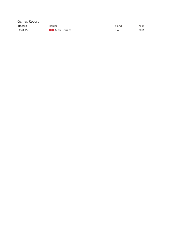| <b>Games Record</b> |                 |            |      |
|---------------------|-----------------|------------|------|
| Record              | Holder          | Island     | Year |
| 3:48.45             | * Keith Gerrard | <b>IOM</b> | 2011 |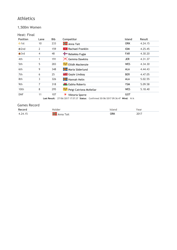### 1,500m Women

### Heat: Final

| <b>Position</b>  | Lane | <b>Bib</b> | Competitor                                                                              | <b>Island</b> | Result  |
|------------------|------|------------|-----------------------------------------------------------------------------------------|---------------|---------|
| $\bullet$ 1st    | 10   | 233        | <b>H</b> Anna Tait                                                                      | <b>ORK</b>    | 4.24.15 |
| $\odot$ 2nd      | 2    | 159        | <b>*</b> Rachael Franklin                                                               | <b>IOM</b>    | 4.25.45 |
| $\bullet$ 3rd    | 4    | 48         | Rebekka Fuglø                                                                           | <b>FAR</b>    | 4.30.20 |
| 4th              | 1    | 191        | $\mathsf{\times}$ Gemma Dawkins                                                         | <b>JER</b>    | 4.31.37 |
| 5th              | 5    | 283        | Eilidh Mackenzie                                                                        | WES           | 4.34.30 |
| 6th              | 9    | 348        | Maria Söderlund                                                                         | <b>ALA</b>    | 4.44.43 |
| 7th              | 6    | 25         | <b>Extra</b> Gayle Lindsay                                                              | <b>BER</b>    | 4.47.05 |
| 8th              | 3    | 326        | <b>H</b> Hannah Helin                                                                   | <b>ALA</b>    | 5.02.55 |
| 9th              | 7    | 318        | <b>K</b> Eabha Roberts                                                                  | <b>YSM</b>    | 5.09.58 |
| 10 <sub>th</sub> | 8    | 295        | Peigi Catriona McKellar                                                                 | WES           | 5.18.40 |
| <b>DNF</b>       | 11   | 107        | ₩<br>Viktoria Sporre                                                                    | <b>GOT</b>    |         |
|                  |      |            | <b>Last Result:</b> 27/06/2017 17:57:37 Status: Confirmed 30/06/2017 09:36:47 Wind: N/A |               |         |

| Record  |      |            | 'ear |
|---------|------|------------|------|
| 4.24.15 | "ait | <b>ORK</b> | 2017 |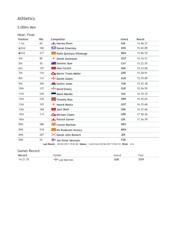5,000m Men

| Heat: Final      |            |                                                                                                        |            |          |
|------------------|------------|--------------------------------------------------------------------------------------------------------|------------|----------|
| <b>Position</b>  | <b>Bib</b> | Competitor                                                                                             | Island     | Result   |
| $\bullet$ 1st    | 60         | Harvey Dixon                                                                                           | GIB        | 14.46.37 |
| $Q$ 2nd          | 182        | <b>Daniel Eckersley</b>                                                                                | <b>IOW</b> | 15.02.89 |
| $\bullet$ 3rd    | 217        | Rafel Quintana Villalonga                                                                              | <b>MEN</b> | 15.06.70 |
| 4th              | 80         | 薄<br><b>Daniel Antonsson</b>                                                                           | <b>GOT</b> | 15.16.51 |
| 5th              | 30         | <b>XX &amp; Dominic Dyer</b>                                                                           | CAY        | 15.22.55 |
| 6th              | 157        | <b>P</b> Alan Corlett                                                                                  | <b>IOM</b> | 15.23.08 |
| 7th              | 116        | Martin Troels Møller                                                                                   | <b>GRE</b> | 15.38.91 |
| 8th              | 131        | Daniel Galpin                                                                                          | <b>GUE</b> | 15.39.89 |
| 9th              | 305        | Gethin Jones                                                                                           | <b>YSM</b> | 15.55.38 |
| 10 <sub>th</sub> | 127        | David Emery                                                                                            | <b>GUE</b> | 15.56.95 |
| 11th             | 245        | Mairo Mändla                                                                                           | <b>SAA</b> | 16.10.10 |
| 12th             | 230        | <b>T</b> Timothy Ross                                                                                  | <b>ORK</b> | 16.25.64 |
| 13 <sub>th</sub> | 103        | Henrik Reintz<br>₩                                                                                     | <b>GOT</b> | 16.35.68 |
| 14th             | 168        | <b>*</b> Jack Okell                                                                                    | <b>IOM</b> | 16.57.66 |
| 15th             | 114        | Michael Clasen                                                                                         | <b>GRE</b> | 17.50.26 |
| 16th             |            | Patrick Garner                                                                                         | GIB        | 17.56.59 |
| <b>DNS</b>       | 286        | Connor Maclean                                                                                         | <b>WES</b> |          |
| <b>DNS</b>       | 218        | Nil Riudavets Victory                                                                                  | <b>MEN</b> |          |
| <b>DNS</b>       | 207        | X Daniel John Romeril                                                                                  | <b>JER</b> |          |
| <b>DNS</b>       | 55         | Jan Elmar Sørensen<br>Last Result: 28/06/2017 19:02:06 Status: Confirmed 28/06/2017 19:02:10 Wind: N/A | <b>FAR</b> |          |

| Record   |                     |     |      |
|----------|---------------------|-----|------|
| 14.21.35 | Merrien<br>$\Delta$ | GUE | 2009 |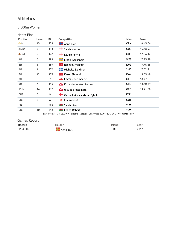### 5,000m Women

| Heat: Final |  |
|-------------|--|
|             |  |

| <b>Position</b> | Lane           | Bib          | Competitor                                                          | <b>Island</b> | Result   |
|-----------------|----------------|--------------|---------------------------------------------------------------------|---------------|----------|
| $\bullet$ 1st   | 15             | 233          | <b>H</b> Anna Tait                                                  | <b>ORK</b>    | 16.45.06 |
| $\odot$ 2nd     | 7              | 143          | Sarah Mercier                                                       | <b>GUE</b>    | 16.58.93 |
| $\bullet$ 3rd   | 9              | 147          | Louise Perrio                                                       | <b>GUE</b>    | 17.06.12 |
| 4th             | 6              | 283          | Eilidh Mackenzie في المستقبل                                        | <b>WES</b>    | 17.25.29 |
| 5th             | 1              | 159          | <b>*</b> Rachael Franklin                                           | <b>IOM</b>    | 17.46.36 |
| 6th             | 11             | 272          | Michelle Sandison                                                   | <b>SHE</b>    | 17.52.21 |
| 7th             | 12             | 175          | $\mathcal{R}$ Karen Shimmin                                         | <b>IOM</b>    | 18.05.49 |
| 8th             | 8              | 69           | Emma Jane Montiel                                                   | GIB           | 18.47.53 |
| 9th             | $\overline{4}$ | 115          | Kista Hammeken Lennert                                              | GRE           | 18.50.59 |
| 10th            | 14             | 117          | <b>Com</b> Ukaleg Slettemark                                        | <b>GRE</b>    | 19.21.88 |
| <b>DNS</b>      | 0              | 46           | Marna Leila Vandsdal Egholm                                         | FAR           |          |
| <b>DNS</b>      | $\overline{2}$ | 92           | ₩<br>Ida Kellström                                                  | <b>GOT</b>    |          |
| <b>DNS</b>      | 5              | 309          | Sarah Livett                                                        | <b>YSM</b>    |          |
| <b>DNS</b>      | 10             | 318          | <b>Example 1</b> Eabha Roberts                                      | <b>YSM</b>    |          |
|                 |                | Last Result: | 28/06/2017 18:28:48 Status: Confirmed 30/06/2017 09:37:07 Wind: N/A |               |          |

| Record   | <b>Holder</b>  | island     | ∕ear |
|----------|----------------|------------|------|
| 16.45.06 | Tait<br>. Anna | <b>ORK</b> | 7017 |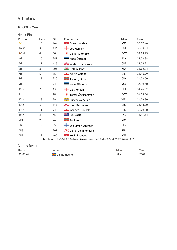### 10,000m Men

### Heat: Final

| <b>Position</b>  | Lane           | <b>Bib</b> | Competitor                | <b>Island</b> | Result   |
|------------------|----------------|------------|---------------------------|---------------|----------|
| $\bullet$ 1st    | 10             | 164        | <b>TV</b> Oliver Lockley  | <b>IOM</b>    | 30.37.46 |
| $Q$ 2nd          | 3              | 144        | $\frac{1}{2}$ Lee Merrien | <b>GUE</b>    | 30.40.84 |
| $\bigcirc$ 3rd   | 4              | 80         | 窘<br>Daniel Antonsson     | <b>GOT</b>    | 32.09.95 |
| 4th              | 15             | 247        | Ando Õitspuu              | <b>SAA</b>    | 32.33.38 |
| 5th              | 17             | 116        | Martin Troels Møller      | <b>GRE</b>    | 32.38.21 |
| 6th              | 8              | 305        | <b>K</b> Gethin Jones     | <b>YSM</b>    | 33.02.34 |
| 7th              | 6              | 66         | Kelvin Gomez              | GIB           | 33.15.99 |
| 8th              | 13             | 230        | <b>T</b> Timothy Ross     | <b>ORK</b>    | 34.33.50 |
| 9th              | 16             | 246        | Kalev Õisnurm             | SAA           | 34.39.60 |
| 10th             | 7              | 135        | Carl Holden               | <b>GUE</b>    | 34.46.52 |
| 11th             | 1              | 78         | 寢<br>Tomas Ängshammar     | <b>GOT</b>    | 34.55.04 |
| 12 <sub>th</sub> | 18             | 294        | Duncan McKellar الشيش     | <b>WES</b>    | 34.56.80 |
| 13 <sub>th</sub> | 5              | 113        | Niels Berthelsen          | <b>GRE</b>    | 35.48.20 |
| 14th             | 11             | 74         | Maurice Turnock فللسيئ    | GIB           | 36.29.50 |
| 15th             | $\overline{2}$ | 45         | <b>THE Rex Eagle</b>      | <b>FAL</b>    | 42.11.84 |
| <b>DNS</b>       | 9              | 224        | <b>Figule</b> Paul Kerr   | <b>ORK</b>    |          |
| <b>DNS</b>       | 12             | 55         | Jan Elmar Sørensen        | <b>FAR</b>    |          |
| <b>DNS</b>       | 14             | 207        | X Daniel John Romeril     | <b>JER</b>    |          |
| <b>DNF</b>       | 19             | 165        | <b>*</b> Kevin Loundes    | <b>IOM</b>    |          |

**Last Result:** 25/06/2017 20:19:52 **Status:** Confirmed 25/06/2017 20:19:59 **Wind:** N/A

| Record   |                | ear  |
|----------|----------------|------|
| 30.03.64 | Holmen<br>____ | 2009 |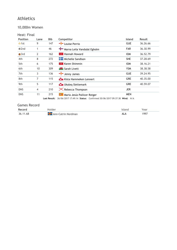### 10,000m Women

### Heat: Final

| <b>Position</b> | Lane           | <b>Bib</b>   | Competitor                                                          | Island     | Result   |
|-----------------|----------------|--------------|---------------------------------------------------------------------|------------|----------|
| $\bullet$ 1st   | 9              | 147          | Louise Perrio                                                       | <b>GUE</b> | 36.26.66 |
| $\bullet$ 2nd   | 1              | 46           | Marna Leila Vandsdal Egholm                                         | <b>FAR</b> | 36.30.99 |
| $\bullet$ 3rd   | $\overline{2}$ | 162          | <b>Hannah Howard</b><br>್ಗಳು                                        | <b>IOM</b> | 36.52.79 |
| 4th             | 8              | 272          | <b>Nichelle Sandison</b>                                            | <b>SHE</b> | 37.28.69 |
| 5th             | 6              | 175          | <b>*</b> Karen Shimmin                                              | <b>IOM</b> | 38.16.21 |
| 6th             | 10             | 309          | Sarah Livett                                                        | <b>YSM</b> | 38.38.58 |
| 7th             | 3              | 136          | $\frac{1}{2}$ Jenny James                                           | <b>GUE</b> | 39.24.95 |
| 8th             | 7              | 115          | Kista Hammeken Lennert                                              | <b>GRE</b> | 40.35.00 |
| 9th             | 5              | 117          | <b>Com</b> Ukaleg Slettemark                                        | <b>GRE</b> | 40.59.07 |
| <b>DNS</b>      | 4              | 210          | <b>X</b> Rebecca Thompson                                           | <b>JER</b> |          |
| <b>DNS</b>      | 11             | 215          | Maria Jesús Pallicer Rotger                                         | <b>MEN</b> |          |
|                 |                | Last Result: | 26/06/2017 17:49:14 Status: Confirmed 30/06/2017 09:37:38 Wind: N/A |            |          |

| Record       |                          |     | 'ear         |
|--------------|--------------------------|-----|--------------|
| 36 11<br>.68 | 45<br>Ann-Catrin Nordman | ALA | $00-$<br>77. |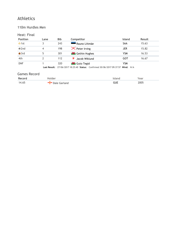### 110m Hurdles Men

### Heat: Final

| <b>Position</b> | Lane | <b>Bib</b> | Competitor                                                                              | Island     | Result |
|-----------------|------|------------|-----------------------------------------------------------------------------------------|------------|--------|
| $\bullet$ 1st   |      | 243        | Rauno Liitmäe                                                                           | SAA        | 15.63  |
| $\odot$ 2nd     | 4    | 198        | $\mathsf{\times}$ Peter Irving                                                          | <b>JER</b> | 15.82  |
| $\bullet$ 3rd   |      | 301        | <b>W</b> Gethin Hughes                                                                  | <b>YSM</b> | 16.53  |
| 4th             |      | 112        | Jacob Wiklund                                                                           | GOT        | 16.67  |
| <b>DNF</b>      |      | 320        | <b>K</b> Guto Tegid                                                                     | <b>YSM</b> |        |
|                 |      |            | <b>Last Result: 27/06/2017 18:25:40 Status: Confirmed 30/06/2017 09:37:57 Wind: N/A</b> |            |        |

| Record | alder                       | :Ianc | /ear |
|--------|-----------------------------|-------|------|
| 14.65  | rland<br>Tiale f<br>. - 2 r | GUE   | 2005 |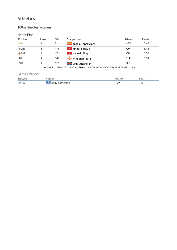#### 100m Hurdles Women

### Heat: Final

| <b>Position</b> | Lane | <b>Bib</b> | Competitor                                                                         | <b>Island</b> | Result |
|-----------------|------|------------|------------------------------------------------------------------------------------|---------------|--------|
| $\bullet$ 1st   | 6    | 214        | Angela Lopéz Marti                                                                 | <b>MEN</b>    | 15.42  |
| $\bullet$ 2nd   |      | 176        | <b>*</b> Amber Sibbald                                                             | <b>IOM</b>    | 15.44  |
| $\bigcirc$ 3rd  | 5    | 174        | <b>12</b> Hannah Riley                                                             | <b>IOM</b>    | 15.52  |
| 4th             | 4    | 149        | Kylie Robilliard                                                                   | <b>GUE</b>    | 15.54  |
| <b>DNS</b>      |      | 325        | <b>H</b> Linn Gustafsson                                                           | <b>ALA</b>    |        |
|                 |      |            | Last Result: 27/06/2017 18:07:08 Status: Confirmed 30/06/2017 09:38:12 Wind: -2.66 |               |        |

| Record | Holder                        | Island | Year |
|--------|-------------------------------|--------|------|
| 14.39  | <b>READER</b> Kelly Sotherton | IOW    | 1997 |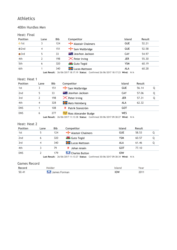#### 400m Hurdles Men

#### Heat: Final

| <b>Position</b> | Lane | <b>Bib</b> | Competitor                                                                              | <b>Island</b> | Result |
|-----------------|------|------------|-----------------------------------------------------------------------------------------|---------------|--------|
| $\bullet$ 1st   |      | 124        | Alastair Chalmers                                                                       | <b>GUE</b>    | 52.21  |
| $Q$ 2nd         | 4    | 151        | Sam Wallbridge                                                                          | <b>GUE</b>    | 52.58  |
| $\bullet$ 3rd   | 5    | 33         | <b>Ext.</b> Jeavhon Jackson                                                             | CAY           | 54.97  |
| 4th             | 2    | 198        | $\mathsf{\times}$ Peter Irving                                                          | <b>JER</b>    | 55.30  |
| 5th             | 6    | 320        | <b>K</b> Guto Tegid                                                                     | YSM           | 60.19  |
| 6th             |      | 340        | <b>H</b> Lucas Mattsson                                                                 | ALA           | 60.28  |
|                 |      |            | <b>Last Result:</b> 26/06/2017 18:17:19 Status: Confirmed 26/06/2017 18:17:23 Wind: N/A |               |        |

Heat: Heat 1

| <b>Position</b> | Lane | <b>Bib</b> | Competitor                       | <b>Island</b> | Result |   |
|-----------------|------|------------|----------------------------------|---------------|--------|---|
| 1st             |      | 151        | $\frac{1}{2}$ Sam Wallbridge     | <b>GUE</b>    | 56.14  |   |
| 2nd             | 5    | 33         | <b>External division</b> Jackson | CAY           | 57.06  | Q |
| 3rd             |      | 198        | $\mathsf{\times}$ Peter Irving   | <b>JER</b>    | 57.31  | Q |
| 4th             | 4    | 328        | <b>H</b> Mats Holmberg           | <b>ALA</b>    | 62.32  |   |
| <b>DNS</b>      |      | 108        | Patrik Stenström                 | GOT           |        |   |
| <b>DNS</b>      | 6    | 277        | Ross Alexander Budge             | WES           |        |   |

**Last Result:** 26/06/2017 11:13:38 **Status:** Confirmed 30/06/2017 09:38:27 **Wind:** N/A

#### Heat: Heat 2

| Lane | Bib | Competitor              | <b>Island</b> | Result |  |
|------|-----|-------------------------|---------------|--------|--|
| 5    | 124 | - Alastair Chalmers     | <b>GUE</b>    | 58.53  |  |
| 6    | 320 | <b>K</b> Guto Tegid     | YSM           | 60.57  |  |
| 4    | 340 | <b>H</b> Lucas Mattsson | ALA           | 61.46  |  |
|      | 79  | Johan Ansén             | GOT           | 77.10  |  |
|      | 179 | <b>Charles Button</b>   | <b>IOW</b>    |        |  |
|      |     |                         |               |        |  |

**Last Result:** 26/06/2017 11:13:27 **Status:** Confirmed 30/06/2017 09:38:34 **Wind:** N/A

| Record | Jlder                     |     | 'ear      |
|--------|---------------------------|-----|-----------|
| 50.41  | orman<br>iames<br>æ<br>Ju | IOW | 701<br>ΖU |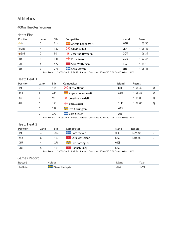#### 400m Hurdles Women

#### Heat: Final

| Lane | <b>Bib</b> | Competitor                   | Island     | Result  |
|------|------------|------------------------------|------------|---------|
| 5    | 214        | Angela Lopéz Marti           | <b>MEN</b> | 1.03.50 |
| 4    | 189        | $\times$ Olivia Allbut       | <b>JER</b> | 1.05.42 |
| 2    | 90         | ਜ਼ੋ<br>Josefine Havdelin     | GOT        | 1.06.39 |
|      | 141        | Eliza Mason                  | <b>GUE</b> | 1.07.34 |
| 6    | 177        | * Sara Watterson             | <b>IOM</b> | 1.08.10 |
|      | 273        | <b>Example 2</b> Cara Steven | <b>SHE</b> | 1.08.48 |
|      |            |                              |            |         |

**Last Result:** 29/06/2017 17:51:27 **Status:** Confirmed 30/06/2017 09:38:47 **Wind:** N/A

#### Heat: Heat 1

| <b>Position</b> | Lane     | <b>Bib</b> | Competitor                 | <b>Island</b> | Result  |   |
|-----------------|----------|------------|----------------------------|---------------|---------|---|
| 1st             | 3        | 189        | $\times$ Olivia Allbut     | <b>JER</b>    | 1.06.30 |   |
| 2 <sub>nd</sub> | 5        | 214        | Angela Lopéz Marti         | <b>MEN</b>    | 1.06.32 | Q |
| 3rd             | 4        | 90         | 寶<br>Josefine Havdelin     | GOT           | 1.08.00 | Q |
| 4th             | 6        | 141        | $\blacksquare$ Eliza Mason | <b>GUE</b>    | 1.09.03 | Q |
|                 | $\Omega$ | 278        | Eve Carrington فَيَجْتُ    | <b>WES</b>    |         |   |
|                 | 0        | 273        | <b>Cara Steven</b>         | <b>SHE</b>    |         |   |

**Last Result:** 29/06/2017 11:49:50 **Status:** Confirmed 30/06/2017 09:38:55 **Wind:** N/A

#### Heat: Heat 2

| <b>Position</b> | Lane | Bib | Competitor                                                                       | <b>Island</b> | Result  |  |
|-----------------|------|-----|----------------------------------------------------------------------------------|---------------|---------|--|
| 1st             |      | 273 | <b>Cara Steven</b>                                                               | <b>SHE</b>    | 1.09.40 |  |
| 2 <sub>nd</sub> |      | 177 | ■ Sara Watterson                                                                 | <b>IOM</b>    | 1.10.28 |  |
| <b>DNF</b>      |      | 278 | Eve Carrington فَيَجْتُ                                                          | WES           |         |  |
| <b>DNS</b>      | ל    | 174 | <b>Ex</b> Hannah Riley                                                           | <b>IOM</b>    |         |  |
|                 |      |     | Last Result: 29/06/2017 11:49:34 Status: Confirmed 30/06/2017 09:39:01 Wind: N/A |               |         |  |

| Record  | Holder                   | 'slano | Year |
|---------|--------------------------|--------|------|
| 1.00.72 | <b>T</b> Diana Lindqvist | ALA    | 1991 |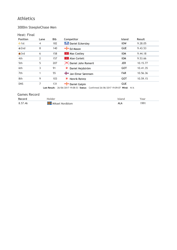### 3000m SteepleChase Men

### Heat: Final

| <b>Position</b> | Lane | <b>Bib</b> | Competitor                                                                              | Island     | Result   |
|-----------------|------|------------|-----------------------------------------------------------------------------------------|------------|----------|
| $\bullet$ 1st   | 4    | 182        | <b>Daniel Eckersley</b>                                                                 | <b>IOW</b> | 9.28.05  |
| $\bigcirc$ 2nd  | 8    | 140        | $H$ Ed Mason                                                                            | <b>GUE</b> | 9.43.53  |
| $\bullet$ 3rd   | 6    | 158        | $\mathbb{R}$ Max Costley                                                                | <b>IOM</b> | 9.44.18  |
| 4th             | 2    | 157        | <b>Alan Corlett</b>                                                                     | <b>IOM</b> | 9.53.66  |
| 5th             | 5    | 207        | X Daniel John Romeril                                                                   | <b>JER</b> | 10.15.77 |
| 6th             | 3    | 91         | 薄<br>Daniel Hejdström                                                                   | <b>GOT</b> | 10.41.35 |
| 7th             |      | 55         | Jan Elmar Sørensen                                                                      | <b>FAR</b> | 10.56.36 |
| 8th             | 9    | 103        | 薄<br>Henrik Reintz                                                                      | <b>GOT</b> | 10.59.15 |
| <b>DNS</b>      | 7    | 131        | Daniel Galpin                                                                           | <b>GUE</b> |          |
|                 |      |            | <b>Last Result:</b> 26/06/2017 19:08:53 Status: Confirmed 26/06/2017 19:09:07 Wind: N/A |            |          |

| Record  | dolder          |                   | 'ear |
|---------|-----------------|-------------------|------|
| 8.57.46 | Mikael Nordblom | $\mathbf{v}$<br>∼ | 1001 |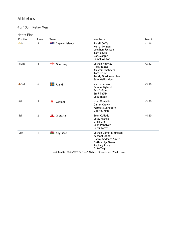4 x 100m Relay Men

| <b>Position</b> | Lane           | <b>Team</b>                  | <b>Members</b>                                                                                                                                                                                      | Result |
|-----------------|----------------|------------------------------|-----------------------------------------------------------------------------------------------------------------------------------------------------------------------------------------------------|--------|
| $\bullet$ 1st   | 3              | <b>At a</b> Cayman Islands   | <b>Tyrell Cuffy</b><br>Kemar Hyman<br>Jeavhon Jackson<br>Tahj Lewis<br>Carl Morgan<br>Jamal Walton                                                                                                  | 41.46  |
| $\bullet$ 2nd   | $\overline{4}$ | Guernsey                     | Joshua Allaway<br><b>Harry Burns</b><br><b>Alastair Chalmers</b><br><b>Tom Druce</b><br>Teddy Gordon-le clerc<br>Sam Wallbridge                                                                     | 42.22  |
| $\bullet$ 3rd   | 6              | $\frac{1}{2}$ Åland          | Victor Jansson<br>Samuel Nylund<br>Eric Sjölund<br>Emil Thölix<br>Joel Thölix                                                                                                                       | 43.10  |
| 4th             | 5              | 寶<br>Gotland                 | Noel Montelin<br>Daniel Örevik<br><b>Mattias Sunneborn</b><br><b>Gabriel Vikic</b>                                                                                                                  | 43.70  |
| 5th             | $\overline{2}$ | <b>Exercise 15</b> Gibraltar | Sean Collado<br>Jessy Franco<br>Craig Gill<br>Sean Penalver<br>Jerai Torres                                                                                                                         | 44.20  |
| <b>DNF</b>      | 1              | <b>W</b> Ynys Môn            | Joshua Daniel Billington<br>Michael Bland<br>Danny Goddard-Smith<br>Gethin Llyr Owen<br><b>Zachary Price</b><br><b>Guto Tegid</b><br>Last Result: 30/06/2017 16:13:47 Status: Unconfirmed Wind: N/A |        |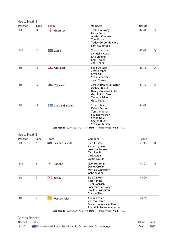| Heat: Heat 1    |                |                               |                                                                                                                                                                                         |        |   |
|-----------------|----------------|-------------------------------|-----------------------------------------------------------------------------------------------------------------------------------------------------------------------------------------|--------|---|
| <b>Position</b> | Lane           | Team                          | <b>Members</b>                                                                                                                                                                          | Result |   |
| 1st             | 4              | $\frac{1}{\sqrt{2}}$ Guernsey | Joshua Allaway<br><b>Harry Burns</b><br><b>Alastair Chalmers</b><br><b>Tom Druce</b><br>Teddy Gordon-le clerc<br>Sam Wallbridge                                                         | 42.41  | Q |
| 2 <sub>nd</sub> | $\overline{2}$ | <b>H</b> Åland                | Victor Jansson<br>Samuel Nylund<br>Eric Sjölund<br>Emil Thölix<br>Joel Thölix                                                                                                           | 43.47  | Q |
| 3rd             | 3              | <b>Exercise 15 Fig. 1</b>     | Sean Collado<br>Jessy Franco<br>Craig Gill<br>Sean Penalver<br>Jerai Torres                                                                                                             | 43.72  | Q |
| 4th             | 6              | <b>W</b> Ynys Môn             | Joshua Daniel Billington<br>Michael Bland<br>Danny Goddard-Smith<br>Gethin Llyr Owen<br><b>Zachary Price</b><br><b>Guto Tegid</b>                                                       | 43.79  | Q |
| 5th             | 5              | 4<br>Shetland Islands         | <b>Stuart Bain</b><br>Keiran Fraser<br>Tom Jamieson<br>Seumas Mackay<br>Shane Odie<br>Caelen Rivett<br>Sean Walterson<br>Last Result: 27/06/2017 12:46:37 Status: Unconfirmed Wind: N/A | 44.47  |   |

| <b>Position</b> | Lane | Team                       | <b>Members</b>                                                                                                         | Result |   |
|-----------------|------|----------------------------|------------------------------------------------------------------------------------------------------------------------|--------|---|
| 1st             | 5    | <b>** £</b> Cayman Islands | <b>Tyrell Cuffy</b><br>Kemar Hyman<br>Jeavhon Jackson<br>Tahj Lewis<br>Carl Morgan<br>Jamal Walton                     | 41.13  | Q |
| 2 <sub>nd</sub> | 6    | 身<br>Gotland               | Noel Montelin<br>Daniel Örevik<br>Mattias Sunneborn<br>Gabriel Vikic                                                   | 43.01  | Q |
| 3rd             | 3    | $\mathsf{\times}$ Jersey   | Sam Dawkins<br>Peter Irving<br>Tyler Johnson<br>Jonathan Le Grange<br><b>Stanley Livingston</b><br><b>Charlie Rive</b> | 44.00  |   |
| 4th             | 4    | يجيئه<br>Western Isles     | Calum Fraser<br>Andrew Horne<br>Donald John Macmillan<br>Ruaraidh James Muncaster                                      | 44.65  |   |
|                 |      |                            | Last Result: 27/06/2017 16:26:03 Status: Unconfirmed Wind: N/A                                                         |        |   |

| Record Holder |                                                                       | Island Year |      |
|---------------|-----------------------------------------------------------------------|-------------|------|
| 41.10         | <b>The Rhymiech adolphus, David Hamil, Carl Morgan, Carlos Morgan</b> | CAY         | 2013 |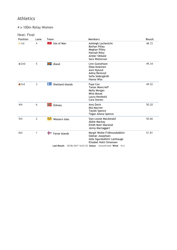# 4 x 100m Relay Women

| <b>Position</b> | Lane           | Team                           | <b>Members</b>                                                                                                                                                              | Result |
|-----------------|----------------|--------------------------------|-----------------------------------------------------------------------------------------------------------------------------------------------------------------------------|--------|
| $\bullet$ 1st   | $\overline{4}$ | Isle of Man<br>$\mathcal{H}^-$ | Ashleigh Lachenicht<br><b>Bethan Pilley</b><br>Meghan Pilley<br>Hannah Riley<br>Amber Sibbald<br>Sara Watterson                                                             | 48.72  |
| $\bullet$ 2nd   | 5              | ╬<br>Åland                     | Linn Gustafsson<br>Ebba Koskinen<br>Anni Nylund<br>Adina Renlund<br>Sofia Södergårdh<br>Hanna Wiss                                                                          | 49.34  |
| $\bullet$ 3rd   | 3              | ╄═<br>Shetland Islands         | Faye Cox<br><b>Tamar Moncrieff</b><br>Molly Morgan<br><b>Mhia Mouat</b><br>Laura Newbold<br>Cara Steven                                                                     | 49.52  |
| 4th             | 6              | $\blacksquare$ Orkney          | Amy Davis<br>Mia MacIver<br><b>Taylah Spence</b><br>Tegan Allana Spence                                                                                                     | 50.20  |
| 5th             | $\overline{2}$ | يجيئه<br>Western Isles         | Sian Louise Macdonald<br>Abbie Mackay<br>Eilidh Mairi Macleod<br>Jenny Mactaggart                                                                                           | 50.66  |
| 6th             | 1              | +<br>Faroe Islands             | Margit Weihe Fríðmundsdóttir<br>Oddvør Josephsen<br>Alda Sigurdsdóttir Lamhauge<br>Elisabet Holm Simonsen<br>Last Result: 30/06/2017 16:01:25 Status: Unconfirmed Wind: N/A | 51.81  |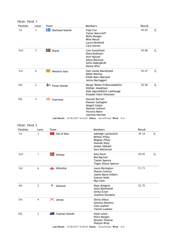| <b>Position</b>                 | Lane           | Team                         | <b>Members</b>                                                                                                  | Result |   |
|---------------------------------|----------------|------------------------------|-----------------------------------------------------------------------------------------------------------------|--------|---|
| 1st                             | 3              | <b>THE</b> Shetland Islands  | Faye Cox<br><b>Tamar Moncrieff</b><br>Molly Morgan<br>Mhia Mouat<br>Laura Newbold<br>Cara Steven                | 49.69  | Q |
| 2 <sub>nd</sub>                 | 5              | <b>H</b> Aland               | Linn Gustafsson<br>Ebba Koskinen<br>Anni Nylund<br>Adina Renlund<br>Sofia Södergårdh<br>Hanna Wiss              | 49.88  | Q |
| 3rd                             | 6              | يجيئه<br>Western Isles       | Sian Louise Macdonald<br>Abbie Mackay<br>Eilidh Mairi Macleod<br>Jenny Mactaggart                               | 50.47  | Q |
| 4th                             | $\overline{2}$ | $\blacksquare$ Faroe Islands | Margit Weihe Fríðmundsdóttir<br>Oddvør Josephsen<br>Alda Sigurdsdóttir Lamhauge<br>Elisabet Holm Simonsen       | 50.98  | Q |
| DQ                              | $\overline{4}$ | $\leftarrow$ Guernsey        | Hannah Barrett<br>Eleanor Gallagher<br>Abigail Galpin<br>Hannah Lesbirel<br>Victoria Mann<br>Jasmine Norman     |        |   |
|                                 |                |                              | Last Result: 27/06/2017 16:24:01 Status: Unconfirmed Wind: N/A                                                  |        |   |
|                                 |                |                              |                                                                                                                 |        |   |
| Heat: Heat 2<br><b>Position</b> | Lane           | Team                         | Members                                                                                                         | Result |   |
| 1st                             | 3              | $\sqrt[n]{\ }$ Isle of Man   | Ashleigh Lachenicht<br><b>Bethan Pilley</b><br>Meghan Pilley<br>Hannah Riley<br>Amber Sibbald<br>Sara Watterson | 49.18  | Q |
| 2nd                             | $\mathbf{1}$   | $\blacksquare$ Orkney        | Amy Davis<br>Mia MacIver<br><b>Taylah Spence</b><br>Tegan Allana Spence                                         | 50.05  | Q |
| 3rd                             | 6              | <b>E</b> Gibraltar           | Laura Bevington<br>Sharon Celecia<br>Joelle Marie Gilbert<br>Zyanne Hook<br>Mya Zarb                            | 51.73  |   |
| 4th                             | $\overline{2}$ | ₹<br>Gotland                 | Maja Almgren<br>Anna Björkstedt<br>Ulrika Evjen<br>Josefine Havdelin                                            | 52.75  |   |
| 5th                             | $\overline{4}$ | X Jersey                     | Olivia Allbut<br>Gemma Dawkins<br>Cleo Leather<br>Yasmin Lookess                                                |        |   |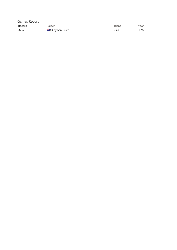| <b>Games Record</b> |                         |        |      |  |  |  |
|---------------------|-------------------------|--------|------|--|--|--|
| Record              | <b>Holder</b>           | Island | Year |  |  |  |
| 47.60               | <b>** A</b> Cayman Team | CAY    | 1999 |  |  |  |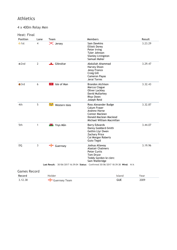4 x 400m Relay Men

| <b>Position</b>     | Lane           | Team                          | <b>Members</b>                                                                                                                     | Result  |
|---------------------|----------------|-------------------------------|------------------------------------------------------------------------------------------------------------------------------------|---------|
| $\bullet$ 1st       | $\overline{4}$ | X Jersey                      | Sam Dawkins<br>Elliott Dorey<br>Peter Irving<br>Tyler Johnson<br><b>Stanley Livingston</b><br>Samuel Maher                         | 3.23.29 |
| $\bullet$ 2nd       | $\overline{2}$ | <b>Little Gibraltar</b>       | Abdullah Ahammad<br>Harvey Dixon<br>Jessy Franco<br>Craig Gill<br><b>Cameron Payas</b><br>Jerai Torres                             | 3.29.47 |
| $\bullet$ 3rd       | 6              | $\sqrt{\alpha}$ Isle of Man   | <b>Brandon Atchison</b><br>Marcus Clague<br><b>Oliver Lockley</b><br>David Mullarkey<br>Rhys Owen<br>Joseph Reid                   | 3.32.43 |
| 4th                 | 5              | Western Isles يَحْيَثُ        | Ross Alexander Budge<br>Calum Fraser<br>Andrew Horne<br>Connor Maclean<br>Donald Maclean Macleod<br>Michael William Macmillan      | 3.32.87 |
| 5th                 | $\mathbf{1}$   | <b>W</b> Ynys Môn             | <b>Barry Edwards</b><br>Danny Goddard-Smith<br>Gethin Llyr Owen<br><b>Zachary Price</b><br>Cai Morgan Roberts<br><b>Guto Tegid</b> | 3.44.07 |
| <b>DQ</b>           | $\mathbf{3}$   | $\frac{1}{\sqrt{2}}$ Guernsey | Joshua Allaway<br><b>Alastair Chalmers</b><br><b>Peter Curtis</b><br>Tom Druce<br>Teddy Gordon-le clerc<br>Sam Wallbridge          | 3.19.96 |
|                     |                |                               | Last Result: 30/06/2017 16:39:04 Status: Confirmed 30/06/2017 18:39:38 Wind: N/A                                                   |         |
| <b>Games Record</b> |                |                               |                                                                                                                                    |         |
| Record              |                | Holder                        | <b>Island</b>                                                                                                                      | Year    |
| 3.12.38             |                | Guernsey Team                 | <b>GUE</b>                                                                                                                         | 2009    |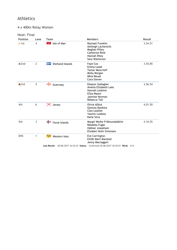### 4 x 400m Relay Women

| <b>Position</b> | Lane           | Team                         | <b>Members</b>                                                                                                                                 | Result  |
|-----------------|----------------|------------------------------|------------------------------------------------------------------------------------------------------------------------------------------------|---------|
| $\bullet$ 1st   | $\overline{4}$ | $\mathcal{H}$<br>Isle of Man | Rachael Franklin<br>Ashleigh Lachenicht<br>Meghan Pilley<br>Catherine Reid<br>Hannah Riley<br>Sara Watterson                                   | 3.54.51 |
| $\odot$ 2nd     | $\overline{2}$ | ╉═<br>Shetland Islands       | Faye Cox<br>Emma Leask<br><b>Tamar Moncrieff</b><br>Molly Morgan<br>Mhia Mouat<br>Cara Steven                                                  | 3.55.85 |
| $\bullet$ 3rd   | 5              | ╺╬╍<br>Guernsey              | Eleanor Gallagher<br>Amelia Elizabeth Lees<br>Hannah Lesbirel<br>Eliza Mason<br>Jasmine Norman<br>Rebecca Toll                                 | 3.56.54 |
| 4th             | 6              | $\mathsf{\times}$ Jersey     | Olivia Allbut<br><b>Gemma Dawkins</b><br>Cleo Leather<br><b>Yasmin Lookess</b><br>Katie Silva                                                  | 4.01.50 |
| 5th             | 3              | ┿<br>Faroe Islands           | Margit Weihe Fríðmundsdóttir<br>Rebekka Fuglø<br>Oddvør Josephsen<br>Elisabet Holm Simonsen                                                    | 4.10.55 |
| <b>DNS</b>      | 1              | يجيئه<br>Western Isles       | Eve Carrington<br>Eilidh Mairi Macleod<br>Jenny Mactaggart<br>Last Result: 30/06/2017 16:25:34 Status: Confirmed 30/06/2017 18:39:27 Wind: N/A |         |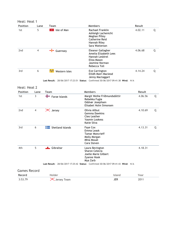|                 | Heat: Heat 1 |                                          |                                                                                                                |         |   |  |  |
|-----------------|--------------|------------------------------------------|----------------------------------------------------------------------------------------------------------------|---------|---|--|--|
| <b>Position</b> | Lane         | Team                                     | <b>Members</b>                                                                                                 | Result  |   |  |  |
| 1st             | 5            | Isle of Man<br>-14                       | Rachael Franklin<br>Ashleigh Lachenicht<br>Meghan Pilley<br>Catherine Reid<br>Hannah Riley<br>Sara Watterson   | 4.02.11 | Q |  |  |
| 2 <sub>nd</sub> | 4            | Guernsey                                 | Eleanor Gallagher<br>Amelia Elizabeth Lees<br>Hannah Lesbirel<br>Eliza Mason<br>Jasmine Norman<br>Rebecca Toll | 4.06.68 | Q |  |  |
| 3rd             | 6            | Western Isles                            | Eve Carrington<br>Eilidh Mairi Macleod<br>Jenny Mactaggart                                                     | 4.14.24 | Q |  |  |
|                 |              | Last Result: 28/06/2017 17:23:51 Status: | Confirmed 30/06/2017 09:41:38 Wind: N/A                                                                        |         |   |  |  |

| <b>Position</b>     | Lane           | Team                     | <b>Members</b>                                                                                | Result  |   |
|---------------------|----------------|--------------------------|-----------------------------------------------------------------------------------------------|---------|---|
| 1st                 | 3              | Faroe Islands            | Margit Weihe Fríðmundsdóttir<br>Rebekka Fuglø<br>Oddvør Josephsen<br>Elisabet Holm Simonsen   | 4.06.56 | Q |
| 2 <sub>nd</sub>     | $\overline{4}$ | $\mathsf{\times}$ Jersey | Olivia Allbut<br><b>Gemma Dawkins</b><br>Cleo Leather<br><b>Yasmin Lookess</b><br>Katie Silva | 4.10.69 | Q |
| 3rd                 | 6              | ┾═<br>Shetland Islands   | Faye Cox<br>Emma Leask<br><b>Tamar Moncrieff</b><br>Molly Morgan<br>Mhia Mouat<br>Cara Steven | 4.13.31 | Q |
| 4th                 | 5              | Gibraltar                | Laura Bevington<br>Sharon Celecia<br>Joelle Marie Gilbert<br>Zyanne Hook<br>Mya Zarb          | 4.18.31 |   |
|                     |                |                          | Last Result: 28/06/2017 17:25:42 Status: Confirmed 30/06/2017 09:41:43 Wind: N/A              |         |   |
| <b>Games Record</b> |                |                          |                                                                                               |         |   |

| Record |                 | 'ear |
|--------|-----------------|------|
| 3.537  | Team<br>lersey. |      |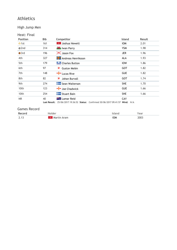### High Jump Men

### Heat: Final

| <b>Position</b> | Bib                | Competitor                                                                                        | <b>Island</b> | Result |
|-----------------|--------------------|---------------------------------------------------------------------------------------------------|---------------|--------|
| $\bullet$ 1st   | 161                | Joshua Hewett<br>-19                                                                              | <b>IOM</b>    | 2.01   |
| $\bullet$ 2nd   | 314                | <b>W</b> Iwan Parry                                                                               | <b>YSM</b>    | 1.98   |
| $\bullet$ 3rd   | 196                | $\mathsf{\times}$ Jason Fox                                                                       | <b>JER</b>    | 1.96   |
| 4th             | 327                | <b>H</b> Andreas Henriksson                                                                       | ALA           | 1.93   |
| 5th             | 179                | <b>Charles Button</b>                                                                             | <b>IOW</b>    | 1.86   |
| 6th             | 97                 | Gustav Melén<br>₩                                                                                 | <b>GOT</b>    | 1.82   |
| 7th             | 148                | <b>External Lucas Rive</b>                                                                        | <b>GUE</b>    | 1.82   |
| 8th             | 82                 | 寶<br>Johan Burvall                                                                                | <b>GOT</b>    | 1.74   |
| 9th             | 274                | Sean Walterson                                                                                    | <b>SHE</b>    | 1.70   |
| 10th            | 123                | Joe Chadwick                                                                                      | <b>GUE</b>    | 1.66   |
| 10th            | 254                | Stuart Bain                                                                                       | <b>SHE</b>    | 1.66   |
| <b>NR</b>       | 40<br>Last Result: | <b>External Lamar Reid</b><br>25/06/2017 19:36:52 Status: Confirmed 30/06/2017 09:41:57 Wind: N/A | CAY           |        |

| Record         |     |            | ear  |
|----------------|-----|------------|------|
| 2 <sup>1</sup> | ram | <b>IOW</b> | 2003 |
| <u> 2. I J</u> |     |            | ---  |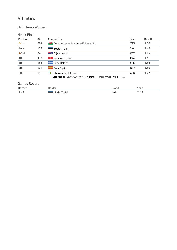### High Jump Women

#### Heat: Final

| <b>Position</b> | <b>Bib</b> | Competitor                                                                             | <b>Island</b> | Result |
|-----------------|------------|----------------------------------------------------------------------------------------|---------------|--------|
| $\bullet$ 1st   | 304        | <b>W</b> Amelia-Jayne Jennings-McLaughlin                                              | <b>YSM</b>    | 1.70   |
| $Q$ 2nd         | 253        | <b>Teele Trejel</b>                                                                    | <b>SAA</b>    | 1.70   |
| $\bullet$ 3rd   | 34         | <b>The Aliah Lewis</b>                                                                 | CAY           | 1.66   |
| 4th             | 177        | * Sara Watterson                                                                       | <b>IOM</b>    | 1.61   |
| 5th             | 258        | <b>Lucy Holden</b>                                                                     | <b>SHE</b>    | 1.54   |
| 6th             | 221        | Amy Davis                                                                              | ORK           | 1.50   |
| 7th             | 21         | -T-Charmaine Johnson<br>Last Result: 28/06/2017 19:17:39 Status: Unconfirmed Wind: N/A | <b>ALD</b>    | 1.22   |

| Record | Holder       | :lanc | ear/  |
|--------|--------------|-------|-------|
| 1.78   | Linda Treiel | SAA   | ່າ∩∢ື |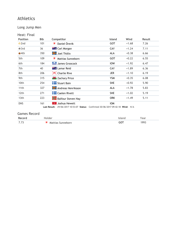Long Jump Men

|     |                                |                                                            |                             | Result          |
|-----|--------------------------------|------------------------------------------------------------|-----------------------------|-----------------|
|     |                                |                                                            |                             | 7.26            |
| 36  |                                | <b>CAY</b>                                                 | $+1.24$                     | 7.11            |
| 350 | <b>H</b> Joel Thölix           | <b>ALA</b>                                                 | $+0.38$                     | 6.66            |
| 109 | ₹<br>Mattias Sunneborn         | <b>GOT</b>                                                 | $+0.22$                     | 6.55            |
| 184 | James Groocock                 | <b>IOW</b>                                                 | $+1.92$                     | 6.47            |
| 40  | <b>El Lamar Reid</b>           | <b>CAY</b>                                                 | $+1.89$                     | 6.36            |
| 206 | $\mathsf{\times}$ Charlie Rive | <b>JER</b>                                                 | $+1.10$                     | 6.19            |
| 315 | <b>W</b> Zachary Price         | <b>YSM</b>                                                 | $+0.35$                     | 6.08            |
| 254 | <b>To Stuart Bain</b>          | <b>SHE</b>                                                 | $+0.92$                     | 5.90            |
| 327 | <b>H</b> Andreas Henriksson    | ALA                                                        | $+1.78$                     | 5.83            |
| 271 | <b>T</b> Caelen Rivett         | <b>SHE</b>                                                 | $+1.02$                     | 5.19            |
| 223 | <b>Balfour Steven Hay</b>      | <b>ORK</b>                                                 | $+1.49$                     | 5.11            |
| 161 | Joshua Hewett<br>$\mathcal{H}$ | <b>IOM</b>                                                 |                             |                 |
|     | <b>Bib</b><br>101              | Competitor<br>寶<br>Daniel Örevik<br><b>THE Carl Morgan</b> | <b>Island</b><br><b>GOT</b> | Wind<br>$+1.68$ |

| Record       | inider            | Year |
|--------------|-------------------|------|
| 7.72<br>7.73 | Mattias Sunneborn | 1993 |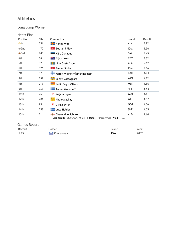Long Jump Women

Heat: Final

| <b>Position</b> | Bib | Competitor                   | <b>Island</b> | Result |
|-----------------|-----|------------------------------|---------------|--------|
| $\bullet$ 1st   | 351 | <b>H</b> Hanna Wiss          | ALA           | 5.92   |
| $\bullet$ 2nd   | 170 | <b>&amp;</b> Bethan Pilley   | <b>IOM</b>    | 5.56   |
| $\bullet$ 3rd   | 248 | Kärt Õunapuu                 | SAA           | 5.45   |
| 4th             | 34  | <b>** A</b> Aijah Lewis      | CAY           | 5.32   |
| 5th             | 325 | <b>H</b> Linn Gustafsson     | ALA           | 5.12   |
| 6th             | 176 | <b>Amber Sibbald</b>         | <b>IOM</b>    | 5.06   |
| 7th             | 47  | Margit Weihe Fríðmundsdóttir | <b>FAR</b>    | 4.94   |
| 8th             | 292 | Jenny Mactaggart             | <b>WES</b>    | 4.72   |
| 9th             | 213 | Judit Bagur Olives           | <b>MEN</b>    | 4.66   |
| 9th             | 264 | <b>Tamar Moncrieff</b>       | <b>SHE</b>    | 4.63   |
| 11th            | 76  | ₹<br>Maja Almgren            | <b>GOT</b>    | 4.61   |
| 12th            | 281 | Abbie Mackay فَيَحِيثُ       | <b>WES</b>    | 4.57   |
| 13th            | 85  | 薄<br>Ulrika Evjen            | <b>GOT</b>    | 4.56   |
| 14th            | 258 | <b>To Lucy Holden</b>        | <b>SHE</b>    | 4.55   |
| 15th            | 21  | - Charmaine Johnson          | <b>ALD</b>    | 3.60   |

**Last Result:** 26/06/2017 10:28:42 **Status:** Unconfirmed **Wind:** N/A

| Record |       |     | /ear |
|--------|-------|-----|------|
| 5.95   | ----- | IOW | 2007 |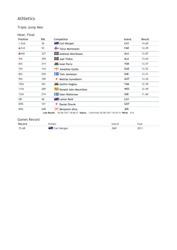### Triple Jump Men

|--|

| 36<br>52<br>327<br>350 | <b>Example 2 Carl Morgan</b><br>Tórur Mortensen<br><b>THE Andreas Henriksson</b><br><b>Hall</b> Joel Thölix |              | CAY<br><b>FAR</b><br><b>ALA</b> | 14.69<br>14.49                                                      |
|------------------------|-------------------------------------------------------------------------------------------------------------|--------------|---------------------------------|---------------------------------------------------------------------|
|                        |                                                                                                             |              |                                 |                                                                     |
|                        |                                                                                                             |              |                                 |                                                                     |
|                        |                                                                                                             |              |                                 | 13.87                                                               |
|                        |                                                                                                             |              | ALA                             | 13.64                                                               |
| 314                    | <b>W</b> Iwan Parry                                                                                         |              | <b>YSM</b>                      | 13.57                                                               |
| 134                    | Jonathan Guille                                                                                             |              | <b>GUE</b>                      | 13.52                                                               |
| 259                    | <b>T</b> om Jamieson                                                                                        |              | <b>SHE</b>                      | 13.51                                                               |
| 109                    | ₩<br>Mattias Sunneborn                                                                                      |              | <b>GOT</b>                      | 13.26                                                               |
| 301                    | Gethin Hughes                                                                                               |              | <b>YSM</b>                      | 12.59                                                               |
| 289                    | Donald John Macmillan                                                                                       |              | <b>WES</b>                      | 12.49                                                               |
| 274                    | <b>T</b> Sean Walterson                                                                                     |              | <b>SHE</b>                      | 11.60                                                               |
| 40                     | <b>Example 1</b> Lamar Reid                                                                                 |              | CAY                             |                                                                     |
| 101                    | Daniel Örevik<br>₩                                                                                          |              | <b>GOT</b>                      |                                                                     |
| 208                    | $\mathsf{\times}$ Benjamin Silva                                                                            |              | <b>JER</b>                      |                                                                     |
|                        |                                                                                                             | Last Result: |                                 | 30/06/2017 18:08:27 Status: Confirmed 30/06/2017 18:39:14 Wind: N/A |

| Record | Holder                 | sland | 'ear |
|--------|------------------------|-------|------|
| 15.68  | <b>THE Carl Morgan</b> | _AY   | 2011 |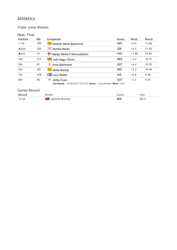### Triple Jump Women

#### Heat: Final

| <b>Position</b> | <b>Bib</b> | Competitor                                                                          | Island     | Wind    | Result |
|-----------------|------------|-------------------------------------------------------------------------------------|------------|---------|--------|
| $\bullet$ 1st   | 285        | Heather Marie Mackinnon                                                             | <b>WES</b> | $+4.5$  | 11.06  |
| $\bullet$ 2nd   | 205        | $\mathsf{\times}$ Kamela Monks                                                      | <b>JER</b> | $+4.5$  | 11.02  |
| $\bullet$ 3rd   | 47         | Margit Weihe Fríðmundsdóttir                                                        | <b>FAR</b> | $+1.00$ | 10.83  |
| 4th             | 213        | Judit Bagur Olives                                                                  | <b>MEN</b> | $+3.4$  | 10.72  |
| 5th             | 81         | ₩<br>Anna Björkstedt                                                                | <b>GOT</b> | $+4.4$  | 10.55  |
| 6th             | 281        | Abbie Mackay                                                                        | <b>WES</b> | $+3.2$  | 10.44  |
| 7th             | 258        | <b>Lucy Holden</b>                                                                  | <b>SHE</b> | $+0.8$  | 9.90   |
| 8th             | 85         | ₩<br>Ulrika Evjen<br>Last Result: 29/06/2017 19:41:23 Status: Unconfirmed Wind: N/A | <b>GOT</b> | $+3.1$  | 9.47   |

| <b>Pecord</b><br>r. |           |            | ear            |
|---------------------|-----------|------------|----------------|
| 12.64               | œ<br>____ | חספ<br>DEN | 2013<br>-- - - |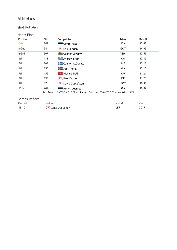#### Shot Put Men

| <b>Position</b> | <b>Bib</b>          | Competitor                                                          | <b>Island</b> | Result |
|-----------------|---------------------|---------------------------------------------------------------------|---------------|--------|
| $\bullet$ 1st   | 249                 | Genro Paas                                                          | <b>SAA</b>    | 15.48  |
| $\bullet$ 2nd   | 94                  | 薄<br>Erik Larsson                                                   | <b>GOT</b>    | 14.93  |
| $\bullet$ 3rd   | 307                 | <b>W</b> Connor Laverty                                             | <b>YSM</b>    | 12.59  |
| 4th             | 183                 | Andrew Frost                                                        | <b>IOW</b>    | 12.35  |
| 5th             | 263                 | <b>Connor McDonald</b>                                              | <b>SHE</b>    | 12.13  |
| 6th             | 350                 | $\frac{1}{2}$ Joel Thölix                                           | <b>ALA</b>    | 12.10  |
| 7th             | 155                 | <b>Richard Bell</b>                                                 | <b>IOM</b>    | 11.21  |
| 8th             | 193                 | $\mathsf{\times}$ Paul Derrien                                      | <b>JER</b>    | 11.20  |
| 9th             | 87                  | David Gustafsson<br>薄                                               | <b>GOT</b>    | 10.91  |
| 10th            | 242                 | Herkki Leemet                                                       | <b>SAA</b>    | 10.82  |
|                 | <b>Last Result:</b> | 26/06/2017 18:22:41 Status: Confirmed 30/06/2017 09:43:04 Wind: N/A |               |        |

| Record |               | Year             |
|--------|---------------|------------------|
| 18.10  | Lane Duquemin | 201 <sup>F</sup> |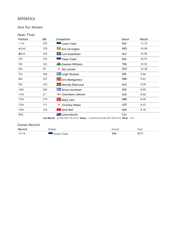Shot Put Women

| Heat: Final     |            |                                                 |               |        |
|-----------------|------------|-------------------------------------------------|---------------|--------|
| <b>Position</b> | <b>Bib</b> | Competitor                                      | <b>Island</b> | Result |
| $\bullet$ 1st   | 252        | Linda Treiel                                    | SAA           | 13.35  |
| $\bullet$ 2nd   | 278        | Eve Carrington ڪُپ <sup>يُّ</sup>               | <b>WES</b>    | 10.99  |
| $\bullet$ 3rd   | 325        | <b>Exercise Exercise Set 15</b> Linn Gustafsson | <b>ALA</b>    | 10.96  |
| 4th             | 253        | <b>Teele Treiel</b>                             | SAA           | 10.57  |
| 5th             | 322        | Gwenan Williams                                 | <b>YSM</b>    | 10.52  |
| 6th             | 93         | 薄<br>Åsa Larsson                                | GOT           | 10.38  |
| 7th             | 268        | <b>Leigh Nicolson</b>                           | <b>SHE</b>    | 9.66   |
| 8th             | 227        | <b>Example 2</b> Erin Montgomery                | <b>ORK</b>    | 9.63   |
| 9th             | 343        | <b>Henrika Österlund</b>                        | <b>ALA</b>    | 9.09   |
| 10th            | 260        | <b>Kirsty Laurenson</b>                         | <b>SHE</b>    | 9.00   |
| 11th            | 21         | -T-Charmaine Johnson                            | <b>ALD</b>    | 8.68   |
| 12th            | 219        | Molly Cant                                      | <b>ORK</b>    | 8.49   |
| 13th            | 111        | 薄<br>Christina Widen                            | <b>GOT</b>    | 8.42   |
| 14th            | 154        | <b>*</b> Alice Bell                             | <b>IOM</b>    | 8.18   |
| <b>DNS</b>      |            | <b>The Lacee Barnes</b>                         | CAY           |        |

**Last Result:** 27/06/2017 18:15:33 **Status:** Confirmed 30/06/2017 09:43:18 **Wind:** N/A

| Record |         |        | ear    |
|--------|---------|--------|--------|
| 14.16  | creiel" | SAA    | ∍רמ    |
|        | 1nga    | -- - - | 20 I J |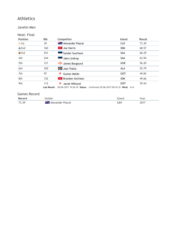#### Javelin Men

| Heat: Final     |                     |                                                                                           |               |        |
|-----------------|---------------------|-------------------------------------------------------------------------------------------|---------------|--------|
| <b>Position</b> | <b>Bib</b>          | Competitor                                                                                | <b>Island</b> | Result |
| $\bullet$ 1st   | 39                  | <b>Example Alexander Pascal</b>                                                           | CAY           | 73.39  |
| $\bullet$ 2nd   | 160                 | Joe Harris                                                                                | <b>IOM</b>    | 68.57  |
| $\bullet$ 3rd   | 251                 | Sander Suurhans                                                                           | <b>SAA</b>    | 66.29  |
| 4th             | 244                 | Jako Lindrop                                                                              | SAA           | 63.94  |
| 5th             | 121                 | James Bougourd                                                                            | <b>GUE</b>    | 56.20  |
| 6th             | 350                 | <b>Han</b> Joel Thölix                                                                    | <b>ALA</b>    | 55.79  |
| 7th             | 97                  | Gustav Melén<br>₩                                                                         | <b>GOT</b>    | 49.83  |
| 8th             | 152                 | <b>Brandon Atchison</b><br>v.                                                             | <b>IOM</b>    | 49.66  |
| 9th             | 112<br>Last Result: | ₩<br>Jacob Wiklund<br>28/06/2017 19:56:39 Status: Confirmed 30/06/2017 09:43:32 Wind: N/A | <b>GOT</b>    | 39.54  |

| Record | Holder                      | 'sland | Year |
|--------|-----------------------------|--------|------|
| 73.39  | <b>ALE Alexander Pascal</b> | CAY    | 2017 |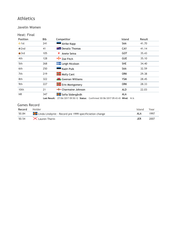#### Javelin Women

| Heat: Final |  |
|-------------|--|
|             |  |

| <b>Position</b> | <b>Bib</b> | Competitor                     | <b>Island</b> | Result |
|-----------------|------------|--------------------------------|---------------|--------|
| $\bullet$ 1st   | 241        | Airike Kapp                    | SAA           | 41.70  |
| $\bigcirc$ 2nd  | 41         | <b>External Denaliz Thomas</b> | CAY           | 41.14  |
| $\bullet$ 3rd   | 105        | ₩<br>Anete Seina               | GOT           | 35.43  |
| 4th             | 128        | $\frac{1}{2}$ Zoe Fitch        | <b>GUE</b>    | 35.10  |
| 5th             | 268        | $\frac{1}{2}$ Leigh Nicolson   | <b>SHE</b>    | 34.40  |
| 6th             | 250        | Kadri Pulk                     | <b>SAA</b>    | 32.59  |
| 7th             | 219        | <b>K</b> Molly Cant            | <b>ORK</b>    | 29.38  |
| 8th             | 322        | Gwenan Williams                | <b>YSM</b>    | 28.45  |
| 9th             | 227        | $\frac{1}{2}$ Erin Montgomery  | <b>ORK</b>    | 28.33  |
| 10th            | 21         | -T-Charmaine Johnson           | <b>ALD</b>    | 22.03  |
| <b>NR</b>       | 347        | Sofia Södergårdh               | <b>ALA</b>    |        |

**Last Result:** 27/06/2017 09:50:12 **Status:** Confirmed 30/06/2017 09:43:43 **Wind:** N/A

| Record | Holder                                                            | Island | Year |
|--------|-------------------------------------------------------------------|--------|------|
| 50.84  | <b>To Linda Lindqvist</b> - Record pre 1999 specificiation change | AL A   | 1997 |
|        | 50.54 $\mathsf{X}$ Lauren Therin                                  | JFR    | 2007 |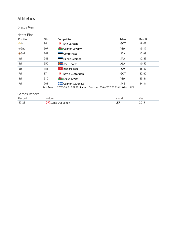#### Discus Men

| Heat: Final    |              |                                                                     |            |        |
|----------------|--------------|---------------------------------------------------------------------|------------|--------|
| Position       | <b>Bib</b>   | Competitor                                                          | Island     | Result |
| $\bullet$ 1st  | 94           | 薄<br>Erik Larsson                                                   | <b>GOT</b> | 48.07  |
| $\bullet$ 2nd  | 307          | <b>K</b> Connor Laverty                                             | <b>YSM</b> | 45.17  |
| $\bigcirc$ 3rd | 249          | Genro Paas                                                          | <b>SAA</b> | 42.69  |
| 4th            | 242          | Herkki Leemet                                                       | <b>SAA</b> | 42.49  |
| 5th            | 350          | <b>H</b> Joel Thölix                                                | <b>ALA</b> | 40.52  |
| 6th            | 155          | <b>P</b> Richard Bell                                               | <b>IOM</b> | 36.39  |
| 7th            | 87           | 寶<br>David Gustafsson                                               | <b>GOT</b> | 32.60  |
| 8th            | 310          | <b>W</b> Shaun Livett                                               | <b>YSM</b> | 25.41  |
| 9th            | 263          | Connor McDonald                                                     | <b>SHE</b> | 24.31  |
|                | Last Result: | 27/06/2017 18:57:29 Status: Confirmed 30/06/2017 09:23:02 Wind: N/A |            |        |

| Record | Holder                 | lsland | Year |
|--------|------------------------|--------|------|
| 57.23  | $\times$ Zane Duquemin | JER    | 2015 |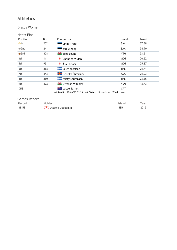#### Discus Women

| Heat: Final     |            |                                                            |               |               |
|-----------------|------------|------------------------------------------------------------|---------------|---------------|
| <b>Position</b> | <b>Bib</b> | Competitor                                                 | <b>Island</b> | <b>Result</b> |
| $\bullet$ 1st   | 252        | Linda Treiel                                               | <b>SAA</b>    | 37.88         |
| $\bigcirc$ 2nd  | 241        | Airike Kapp                                                | SAA           | 34.90         |
| $\bullet$ 3rd   | 308        | <b>W</b> Brea Leung                                        | <b>YSM</b>    | 33.21         |
| 4th             | 111        | Christina Widen<br>₩                                       | <b>GOT</b>    | 26.22         |
| 5th             | 93         | ₹<br>Åsa Larsson                                           | <b>GOT</b>    | 25.87         |
| 6th             | 268        | <b>Example 1</b> Leigh Nicolson                            | <b>SHE</b>    | 25.41         |
| 7th             | 343        | <b>H</b> Henrika Österlund                                 | ALA           | 25.03         |
| 8th             | 260        | <b>Kirsty Laurenson</b>                                    | <b>SHE</b>    | 23.36         |
| 9th             | 322        | Gwenan Williams                                            | <b>YSM</b>    | 18.43         |
| <b>DNS</b>      |            | <b>External Lacee Barnes</b>                               | CAY           |               |
|                 |            | Last Result: 29/06/2017 19:01:43 Status: Unconfirmed Wind: | N/A           |               |

| Record |                            | ear |
|--------|----------------------------|-----|
| 48.58  | ×<br>Duauemin<br>Shadine D |     |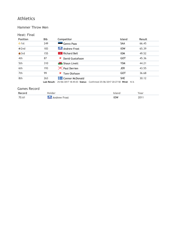#### Hammer Throw Men

#### Heat: Final

| <b>Position</b> | <b>Bib</b> | Competitor            | Island                                                                           | Result |
|-----------------|------------|-----------------------|----------------------------------------------------------------------------------|--------|
| $\bullet$ 1st   | 249        | Genro Paas            | <b>SAA</b>                                                                       | 66.45  |
| $Q$ 2nd         | 183        | <b>Andrew Frost</b>   | <b>IOW</b>                                                                       | 65.39  |
| $\bullet$ 3rd   | 155        | Richard Bell<br>v.    | <b>IOM</b>                                                                       | 49.52  |
| 4th             | 87         | 薄<br>David Gustafsson | <b>GOT</b>                                                                       | 45.36  |
| 5th             | 310        | <b>W</b> Shaun Livett | <b>YSM</b>                                                                       | 44.21  |
| 6th             | 193        | $\times$ Paul Derrien | <b>JER</b>                                                                       | 43.55  |
| 7th             | 99         | 薄<br>Tore Olofsson    | <b>GOT</b>                                                                       | 36.68  |
| 8th             | 263        | Connor McDonald       | <b>SHE</b>                                                                       | 30.12  |
|                 |            |                       | Last Result: 25/06/2017 18:45:03 Status: Confirmed 25/06/2017 20:27:50 Wind: N/A |        |

| Record |                        |            | ear |
|--------|------------------------|------------|-----|
| 70.61  | Andrew Frost<br>ra San | <b>IOW</b> | ∍∩י |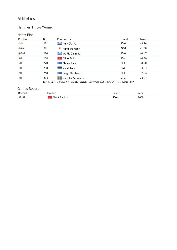#### Hammer Throw Women

#### Heat: Final

| <b>Position</b> | <b>Bib</b> | Competitor                      | <b>Island</b>                                                                    | <b>Result</b> |
|-----------------|------------|---------------------------------|----------------------------------------------------------------------------------|---------------|
| $\bullet$ 1st   | 181        | Amy Clarke                      | <b>IOW</b>                                                                       | 48.76         |
| $\bullet$ 2nd   | 89         | Annie Hansson                   | GOT                                                                              | 41.08         |
| $\bullet$ 3rd   | 180        | <b>Mallis Canning</b>           | <b>IOW</b>                                                                       | 40.47         |
| 4th             | 154        | <b>R</b> Alice Bell             | <b>IOM</b>                                                                       | 40.30         |
| 5th             | 270        | <b>Example 2</b> Elaine Park    | <b>SHE</b>                                                                       | 38.90         |
| 6th             | 250        | Kadri Pulk                      | <b>SAA</b>                                                                       | 33.53         |
| 7th             | 268        | <b>Example 1</b> Leigh Nicolson | <b>SHE</b>                                                                       | 32.84         |
| 8th             | 343        | Henrika Österlund               | <b>ALA</b>                                                                       | 23.97         |
|                 |            |                                 | Last Result: 28/06/2017 18:57:12 Status: Confirmed 30/06/2017 09:44:36 Wind: N/A |               |

| RΔ    |            |   |
|-------|------------|---|
| 48.8C | OΜ<br>____ | . |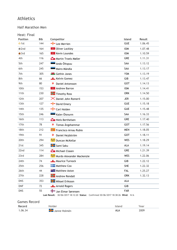#### Half Marathon Men

#### Heat: Final

| <b>Position</b> | <b>Bib</b> | Competitor                                                                                             | Island     | Result  |
|-----------------|------------|--------------------------------------------------------------------------------------------------------|------------|---------|
| $\bullet$ 1st   | 144        | Lee Merrien                                                                                            | <b>GUE</b> | 1.06.45 |
| $\bullet$ 2nd   | 164        | <b>v</b> Oliver Lockley                                                                                | <b>IOM</b> | 1.07.48 |
| $\bigcirc$ 3rd  | 165        | <b>R</b> Kevin Loundes                                                                                 | <b>IOM</b> | 1.10.59 |
| 4th             | 116        | Martin Troels Møller                                                                                   | <b>GRE</b> | 1.11.31 |
| 5th             | 247        | Ando Õitspuu                                                                                           | SAA        | 1.13.12 |
| 6th             | 245        | Mairo Mändla                                                                                           | SAA        | 1.13.17 |
| 7th             | 305        | <b>M</b> Gethin Jones                                                                                  | <b>YSM</b> | 1.13.19 |
| 8th             | 66         | <b>Kelvin Gomez</b>                                                                                    | GIB        | 1.13.47 |
| 9th             | 80         | ₹<br>Daniel Antonsson                                                                                  | <b>GOT</b> | 1.14.13 |
| 10th            | 153        | <b>Andrew Barron</b>                                                                                   | <b>IOM</b> | 1.14.41 |
| 11th            | 230        | Timothy Ross                                                                                           | <b>ORK</b> | 1.14.50 |
| 12th            | 207        | X Daniel John Romeril                                                                                  | <b>JER</b> | 1.15.00 |
| 13th            | 127        | David Emery                                                                                            | <b>GUE</b> | 1.15.18 |
| 14th            | 135        | Carl Holden                                                                                            | <b>GUE</b> | 1.15.48 |
| 15th            | 246        | Kalev Õisnurm                                                                                          | SAA        | 1.16.33 |
| 16th            | 113        | Niels Berthelsen                                                                                       | <b>GRE</b> | 1.17.40 |
| 17th            | 78         | Tomas Ängshammar<br>₩                                                                                  | GOT        | 1.17.56 |
| 18th            | 212        | Francisco Arnau Rubio                                                                                  | <b>MEN</b> | 1.18.05 |
| 19th            | 91         | ₹<br>Daniel Hejdström                                                                                  | <b>GOT</b> | 1.18.11 |
| 20th            | 294        | Duncan McKellar فَيَبْتُ                                                                               | <b>WES</b> | 1.18.29 |
| 21st            | 345        | Sami Saku                                                                                              | <b>ALA</b> | 1.19.14 |
| 22nd            | 114        | Michael Clasen                                                                                         | <b>GRE</b> | 1.21.39 |
| 23rd            | 284        | Murdo Alexander Mackenzie                                                                              | <b>WES</b> | 1.22.06 |
| 24th            | 74         | <b>Maurice Turnock</b>                                                                                 | GIB        | 1.22.12 |
| 25th            | 256        | <b>Natthew Cox</b>                                                                                     | <b>SHE</b> | 1.22.32 |
| 26th            | 44         | <b>E Matthew Aston</b>                                                                                 | FAL        | 1.25.27 |
| 27th            | 228        | <b>Andrew Rendall</b>                                                                                  | <b>ORK</b> | 1.32.13 |
| <b>DNS</b>      | 353        | <b>H</b> Mikael Eriksson                                                                               | <b>ALA</b> |         |
| <b>DNF</b>      | 72         | Arnold Rogers                                                                                          | GIB        |         |
| <b>DNS</b>      | 55         | Jan Elmar Sørensen<br>Last Result: 30/06/2017 18:12:20 Status: Confirmed 30/06/2017 18:38:26 Wind: N/A | <b>FAR</b> |         |

| Record  | older        |     | rear |
|---------|--------------|-----|------|
| 1.06.34 | Janne Holmén | ALA | 2009 |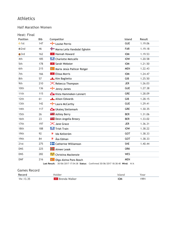#### Half Marathon Women

#### Heat: Final

| <b>Position</b> | <b>Bib</b> | Competitor                          | Island     | Result  |
|-----------------|------------|-------------------------------------|------------|---------|
| $\bullet$ 1st   | 147        | Louise Perrio                       | <b>GUE</b> | 1.19.06 |
| $\odot$ 2nd     | 46         | Marna Leila Vandsdal Egholm         | <b>FAR</b> | 1.19.18 |
| $\bullet$ 3rd   | 162        | * Hannah Howard                     | <b>IOM</b> | 1.19.53 |
| 4th             | 185        | <b>Charlotte Metcalfe</b>           | <b>IOW</b> | 1.20.58 |
| 5th             | 178        | <b>*</b> Sarah Webster              | <b>IOM</b> | 1.21.50 |
| 6th             | 215        | Maria Jesús Pallicer Rotger         | <b>MEN</b> | 1.22.43 |
| 7th             | 166        | <b>PELISSA Morris</b>               | <b>IOM</b> | 1.24.47 |
| 8th             | 57         | Kim Baglietto                       | GIB        | 1.25.50 |
| 9th             | 210        | <b>X</b> Rebecca Thompson           | <b>JER</b> | 1.26.03 |
| 10th            | 136        | Jenny James                         | <b>GUE</b> | 1.27.38 |
| 11th            | 115        | Kista Hammeken Lennert              | <b>GRE</b> | 1.28.09 |
| 12th            | 61         | Alison Edwards                      | GIB        | 1.28.15 |
| 13th            | 142        | Laura McCarthy                      | <b>GUE</b> | 1.29.41 |
| 14th            | 117        | <b>Com</b> Ukaleq Slettemark        | <b>GRE</b> | 1.30.35 |
| 15th            | 26         | <b>XXIII</b> Ashley Berry           | <b>BER</b> | 1.31.06 |
| 16th            | 23         | <b>External Deon Angella Breary</b> | <b>BER</b> | 1.33.02 |
| 17th            | 197        | $\mathsf{\times}$ Jane Grace        | <b>JER</b> | 1.36.31 |
| 18th            | 188        | Trish Train                         | <b>IOW</b> | 1.38.22 |
| 19th            | 92         | 寶<br>Ida Kellström                  | <b>GOT</b> | 1.38.33 |
| 19th            | 84         | Åsa Edman<br>箒                      | <b>GOT</b> | 1.38.33 |
| 21st            | 275        | <b>Catherine Williamson</b>         | <b>SHE</b> | 1.40.44 |
| <b>DNS</b>      | 225        | <b>Almee Leask</b>                  | <b>ORK</b> |         |
| <b>DNS</b>      | 282        | Christina Mackenzie في المستبقى     | <b>WES</b> |         |
| <b>DNF</b>      | 216        | Olga Alzina Pons Bosch              | <b>MEN</b> |         |

**Last Result:** 30/06/2017 17:54:38 **Status:** Confirmed 30/06/2017 18:38:40 **Wind:** N/A

| <b>Games Record</b> |                 |            |      |  |
|---------------------|-----------------|------------|------|--|
| Record              | Holder          | Island     | Year |  |
| 1hr.13.35           | * Brenda Walker | <b>IOM</b> | 1991 |  |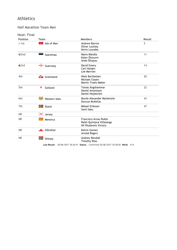#### Half Marathon Team Men

Heat: Final

| <b>Position</b> | Team                         | <b>Members</b>                                                              | Result |
|-----------------|------------------------------|-----------------------------------------------------------------------------|--------|
| $\bullet$ 1st   | $\mathcal{H}$<br>Isle of Man | Andrew Barron<br>Oliver Lockley<br>Kevin Loundes                            | 5      |
| $\bullet$ 2nd   | Saaremaa                     | Mairo Mändla<br>Kalev Õisnurm<br>Ando Öitspuu                               | 11     |
| $\bullet$ 3rd   | Guernsey                     | David Emery<br>Carl Holden<br>Lee Merrien                                   | 14     |
| 4th             | <b>C</b> Greenland           | Niels Berthelsen<br>Michael Clasen<br><b>Martin Troels Møller</b>           | 20     |
| 5th             | 寶<br>Gotland                 | Tomas Ängshammar<br>Daniel Antonsson<br>Daniel Hejdström                    | 22     |
| 6th             | کیٹ<br>Western Isles         | Murdo Alexander Mackenzie<br>Duncan McKellar                                | 43     |
| 7th             | $\frac{1}{2}$ Åland          | Mikael Eriksson<br>Sami Saku                                                | 47     |
| <b>NR</b>       | $\mathsf{\times}$ Jersey     |                                                                             |        |
| <b>NR</b>       | H.<br>Menorca                | Francisco Arnau Rubio<br>Rafel Quintana Villalonga<br>Nil Riudavets Victory |        |
| <b>NR</b>       | <b>A</b> Gibraltar           | Kelvin Gomez<br><b>Arnold Rogers</b>                                        |        |
| <b>NR</b>       | Orkney                       | Andrew Rendall<br><b>Timothy Ross</b>                                       |        |

**Last Result:** 30/06/2017 18:20:41 **Status:** Confirmed 30/06/2017 18:38:50 **Wind:** N/A